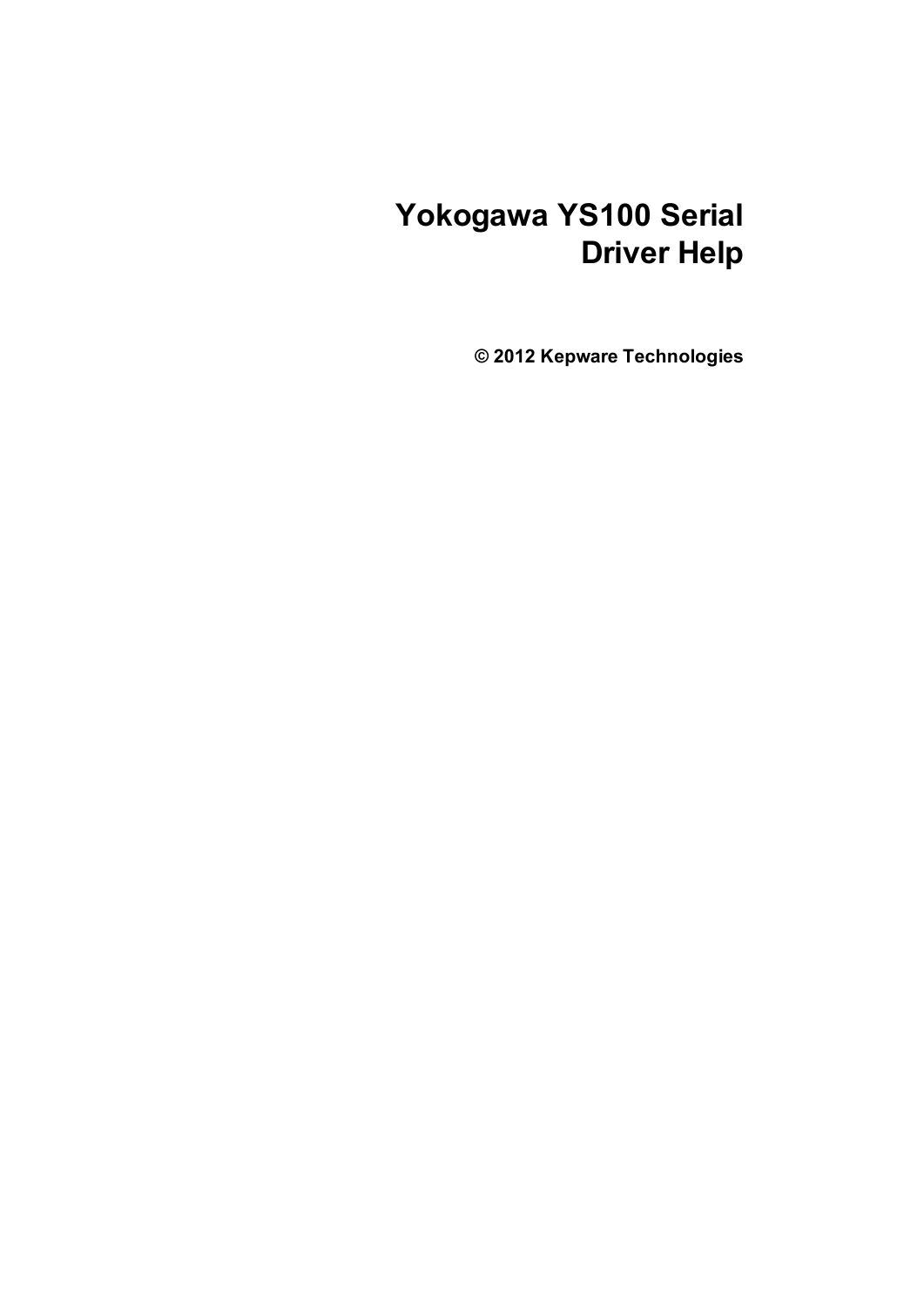# **Yokogawa YS100 Serial Driver Help**

**© 2012 Kepware Technologies**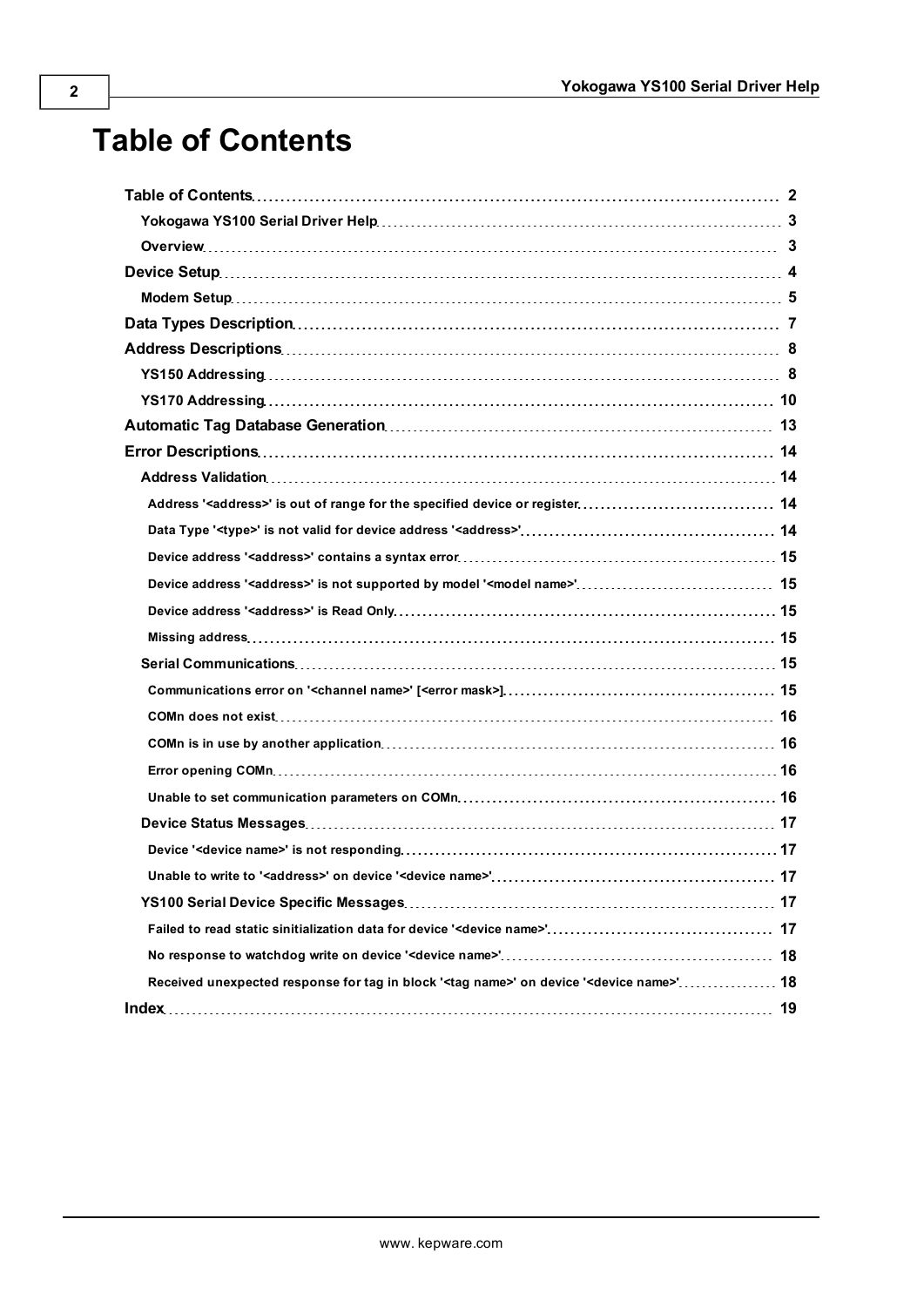# <span id="page-1-0"></span>**Table of Contents**

| Received unexpected response for tag in block ' <tag name="">' on device '<device name="">' 18</device></tag> |  |
|---------------------------------------------------------------------------------------------------------------|--|
|                                                                                                               |  |
|                                                                                                               |  |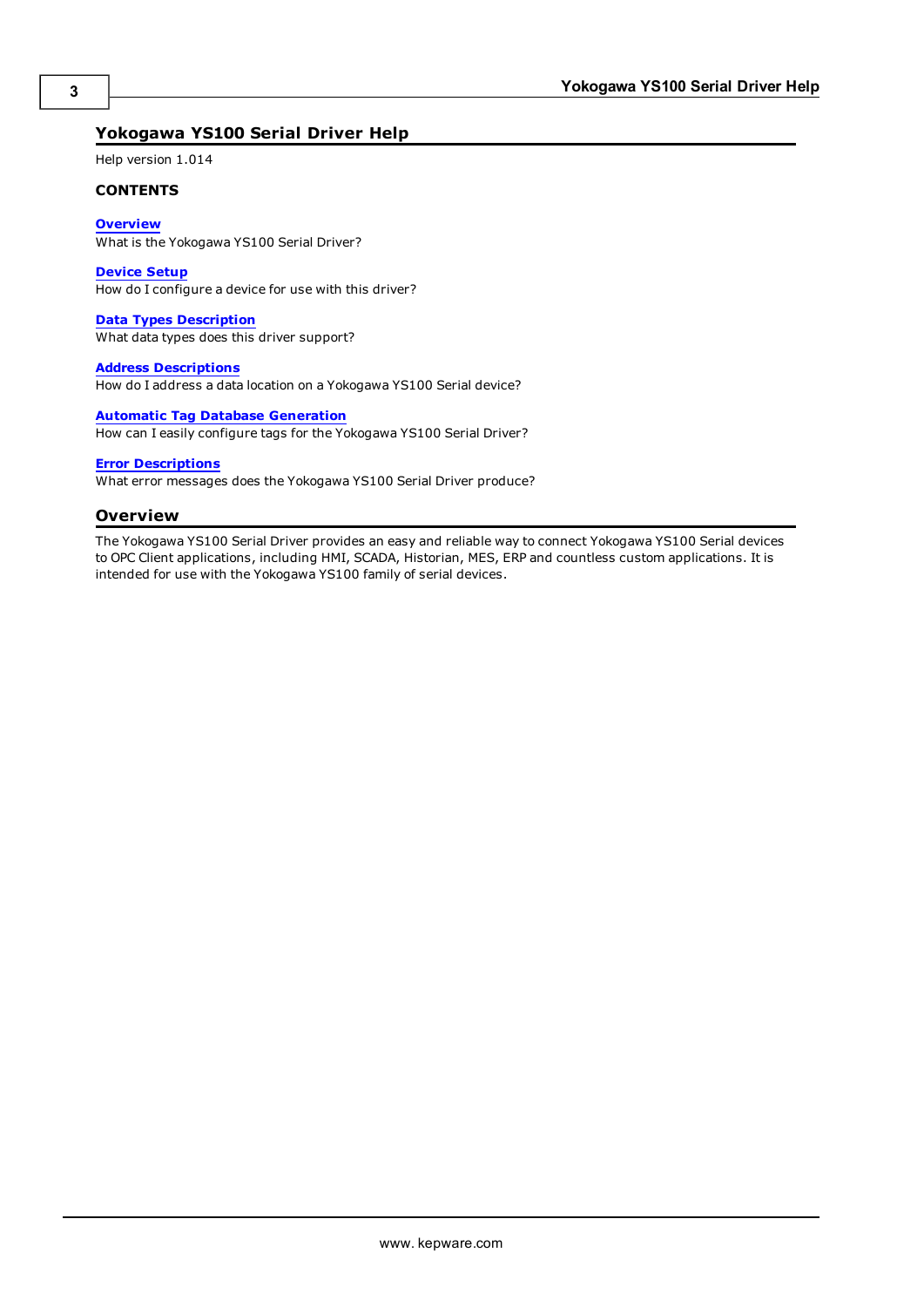### <span id="page-2-0"></span>**Yokogawa YS100 Serial Driver Help**

Help version 1.014

#### **CONTENTS**

**[Overview](#page-2-1)** What is the Yokogawa YS100 Serial Driver?

**[Device](#page-3-0) [Setup](#page-3-0)**

How do I configure a device for use with this driver?

**[Data](#page-6-0) [Types](#page-6-0) [Description](#page-6-0)** What data types does this driver support?

**[Address](#page-7-0) [Descriptions](#page-7-0)**

How do I address a data location on a Yokogawa YS100 Serial device?

#### **[Automatic](#page-12-0) [Tag](#page-12-0) [Database](#page-12-0) [Generation](#page-12-0)**

How can I easily configure tags for the Yokogawa YS100 Serial Driver?

#### **[Error](#page-13-0) [Descriptions](#page-13-0)**

<span id="page-2-1"></span>What error messages does the Yokogawa YS100 Serial Driver produce?

#### **Overview**

The Yokogawa YS100 Serial Driver provides an easy and reliable way to connect Yokogawa YS100 Serial devices to OPC Client applications, including HMI, SCADA, Historian, MES, ERP and countless custom applications. It is intended for use with the Yokogawa YS100 family of serial devices.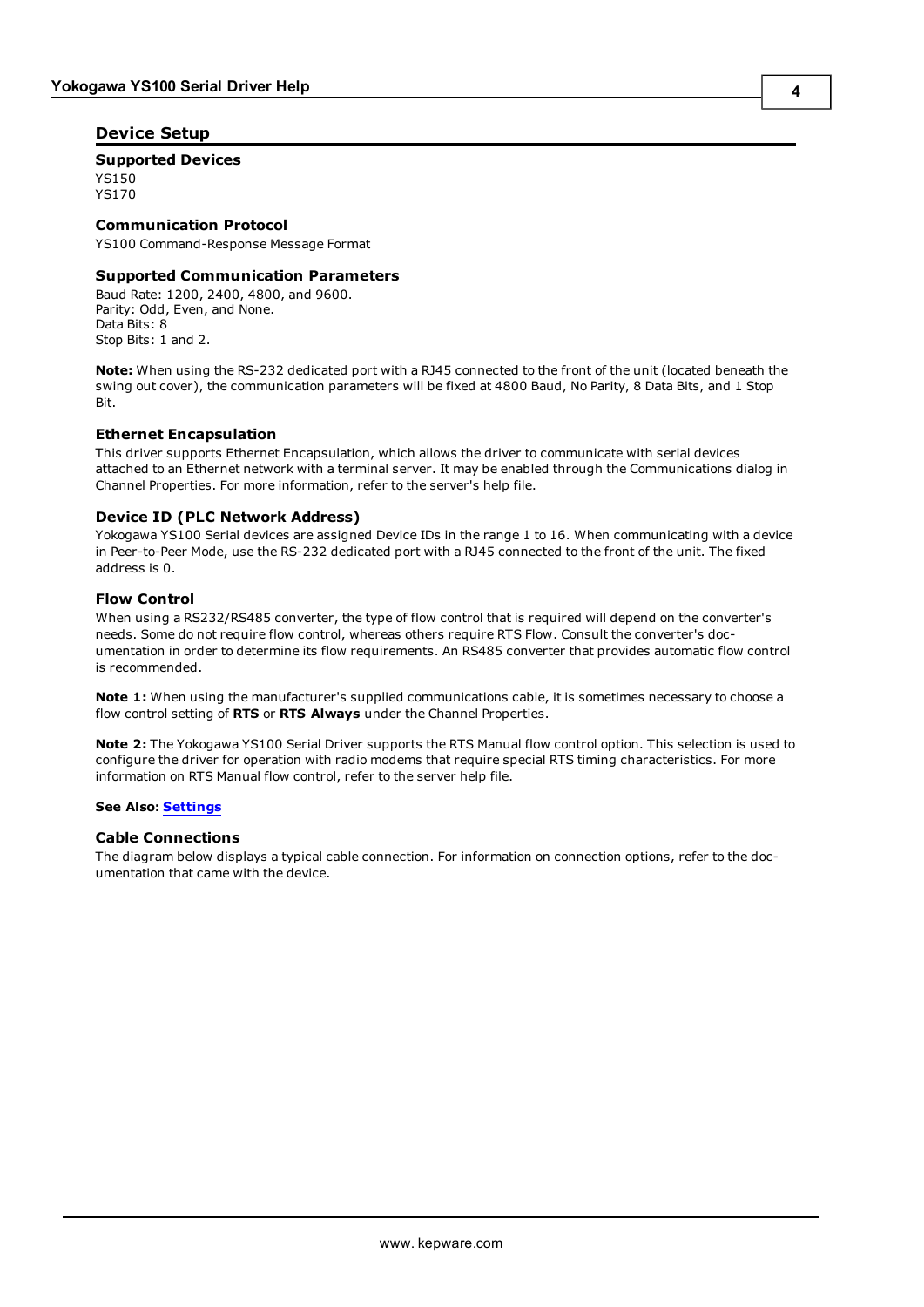#### <span id="page-3-0"></span>**Device Setup**

#### **Supported Devices**

YS150 YS170

#### **Communication Protocol**

YS100 Command-Response Message Format

#### **Supported Communication Parameters**

Baud Rate: 1200, 2400, 4800, and 9600. Parity: Odd, Even, and None. Data Bits: 8 Stop Bits: 1 and 2.

**Note:** When using the RS-232 dedicated port with a RJ45 connected to the front of the unit (located beneath the swing out cover), the communication parameters will be fixed at 4800 Baud, No Parity, 8 Data Bits, and 1 Stop Bit.

#### <span id="page-3-2"></span>**Ethernet Encapsulation**

This driver supports Ethernet Encapsulation, which allows the driver to communicate with serial devices attached to an Ethernet network with a terminal server. It may be enabled through the Communications dialog in Channel Properties. For more information, refer to the server's help file.

#### <span id="page-3-1"></span>**Device ID (PLC Network Address)**

Yokogawa YS100 Serial devices are assigned Device IDs in the range 1 to 16. When communicating with a device in Peer-to-Peer Mode, use the RS-232 dedicated port with a RJ45 connected to the front of the unit. The fixed address is 0.

#### **Flow Control**

When using a RS232/RS485 converter, the type of flow control that is required will depend on the converter's needs. Some do not require flow control, whereas others require RTS Flow. Consult the converter's documentation in order to determine its flow requirements. An RS485 converter that provides automatic flow control is recommended.

**Note 1:** When using the manufacturer's supplied communications cable, it is sometimes necessary to choose a flow control setting of **RTS** or **RTS Always** under the Channel Properties.

**Note 2:** The Yokogawa YS100 Serial Driver supports the RTS Manual flow control option. This selection is used to configure the driver for operation with radio modems that require special RTS timing characteristics. For more information on RTS Manual flow control, refer to the server help file.

#### **See Also: [Settings](#page-4-1)**

#### **Cable Connections**

The diagram below displays a typical cable connection. For information on connection options, refer to the documentation that came with the device.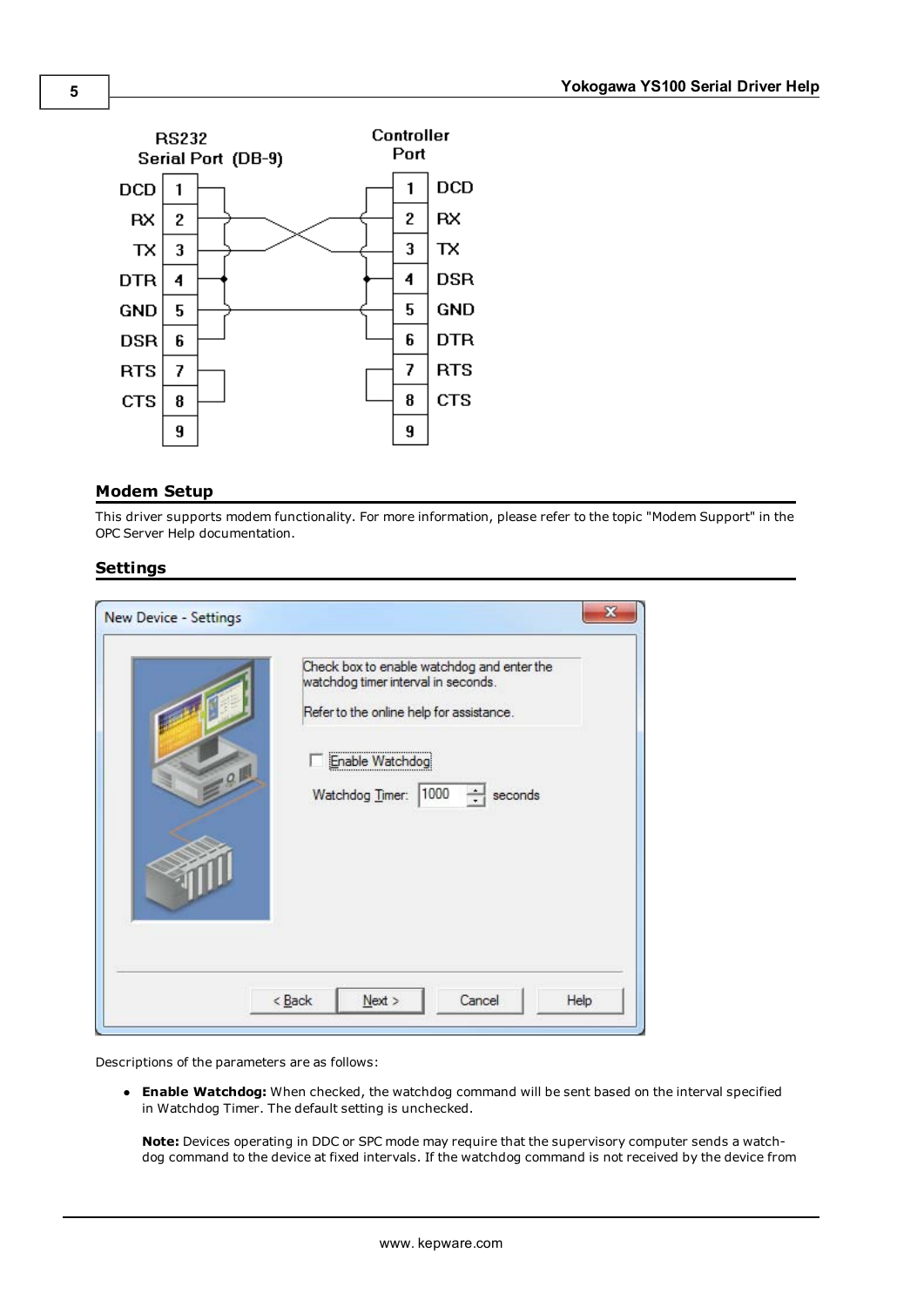

#### <span id="page-4-0"></span>**Modem Setup**

This driver supports modem functionality. For more information, please refer to the topic "Modem Support" in the OPC Server Help documentation.

#### <span id="page-4-1"></span>**Settings**

|      | Check box to enable watchdog and enter the<br>watchdog timer interval in seconds.<br>Refer to the online help for assistance. |
|------|-------------------------------------------------------------------------------------------------------------------------------|
| $-9$ | Enable Watchdog<br>1000<br>$\ddot{\cdot}$<br>Watchdog Timer:<br>seconds                                                       |
|      |                                                                                                                               |

Descriptions of the parameters are as follows:

**Enable Watchdog:** When checked, the watchdog command will be sent based on the interval specified in Watchdog Timer. The default setting is unchecked.

**Note:** Devices operating in DDC or SPC mode may require that the supervisory computer sends a watchdog command to the device at fixed intervals. If the watchdog command is not received by the device from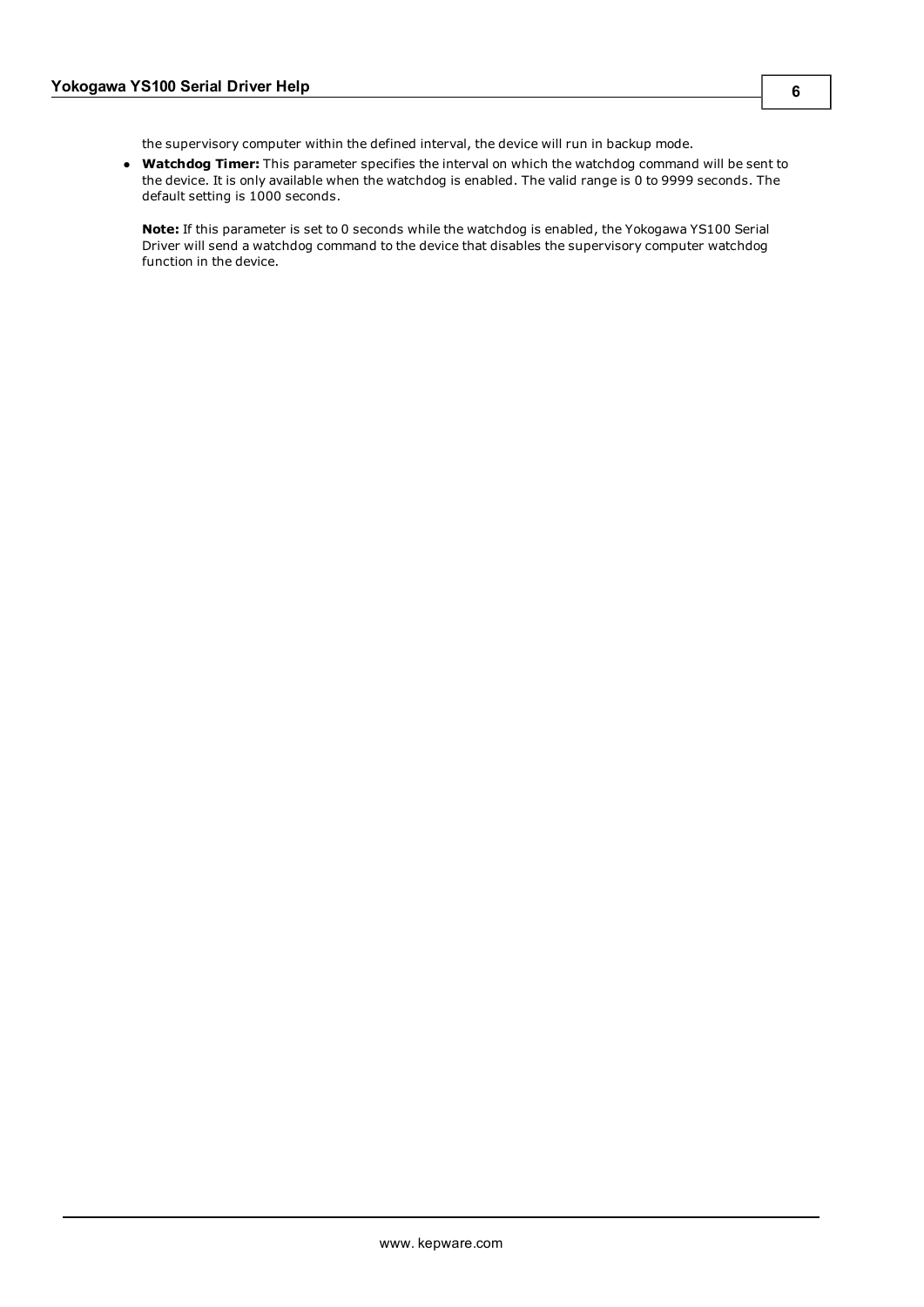the supervisory computer within the defined interval, the device will run in backup mode.

**• Watchdog Timer:** This parameter specifies the interval on which the watchdog command will be sent to the device. It is only available when the watchdog is enabled. The valid range is 0 to 9999 seconds. The default setting is 1000 seconds.

**Note:** If this parameter is set to 0 seconds while the watchdog is enabled, the Yokogawa YS100 Serial Driver will send a watchdog command to the device that disables the supervisory computer watchdog function in the device.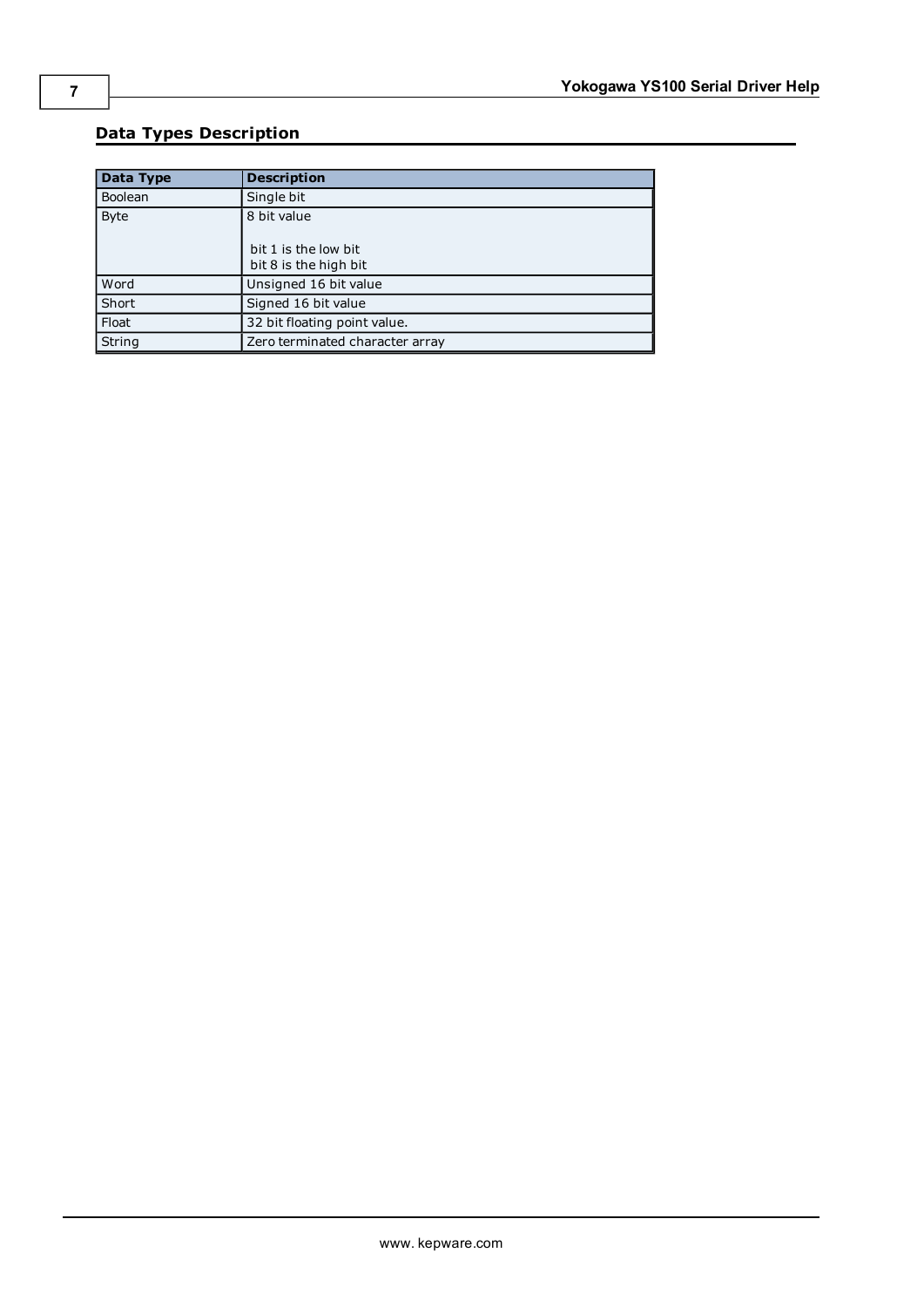## <span id="page-6-0"></span>**Data Types Description**

<span id="page-6-5"></span><span id="page-6-4"></span><span id="page-6-3"></span><span id="page-6-2"></span><span id="page-6-1"></span>

| Data Type      | <b>Description</b>                            |
|----------------|-----------------------------------------------|
| <b>Boolean</b> | Single bit                                    |
| <b>Byte</b>    | 8 bit value                                   |
|                | bit 1 is the low bit<br>bit 8 is the high bit |
| Word           | Unsigned 16 bit value                         |
| Short          | Signed 16 bit value                           |
| Float          | 32 bit floating point value.                  |
| String         | Zero terminated character array               |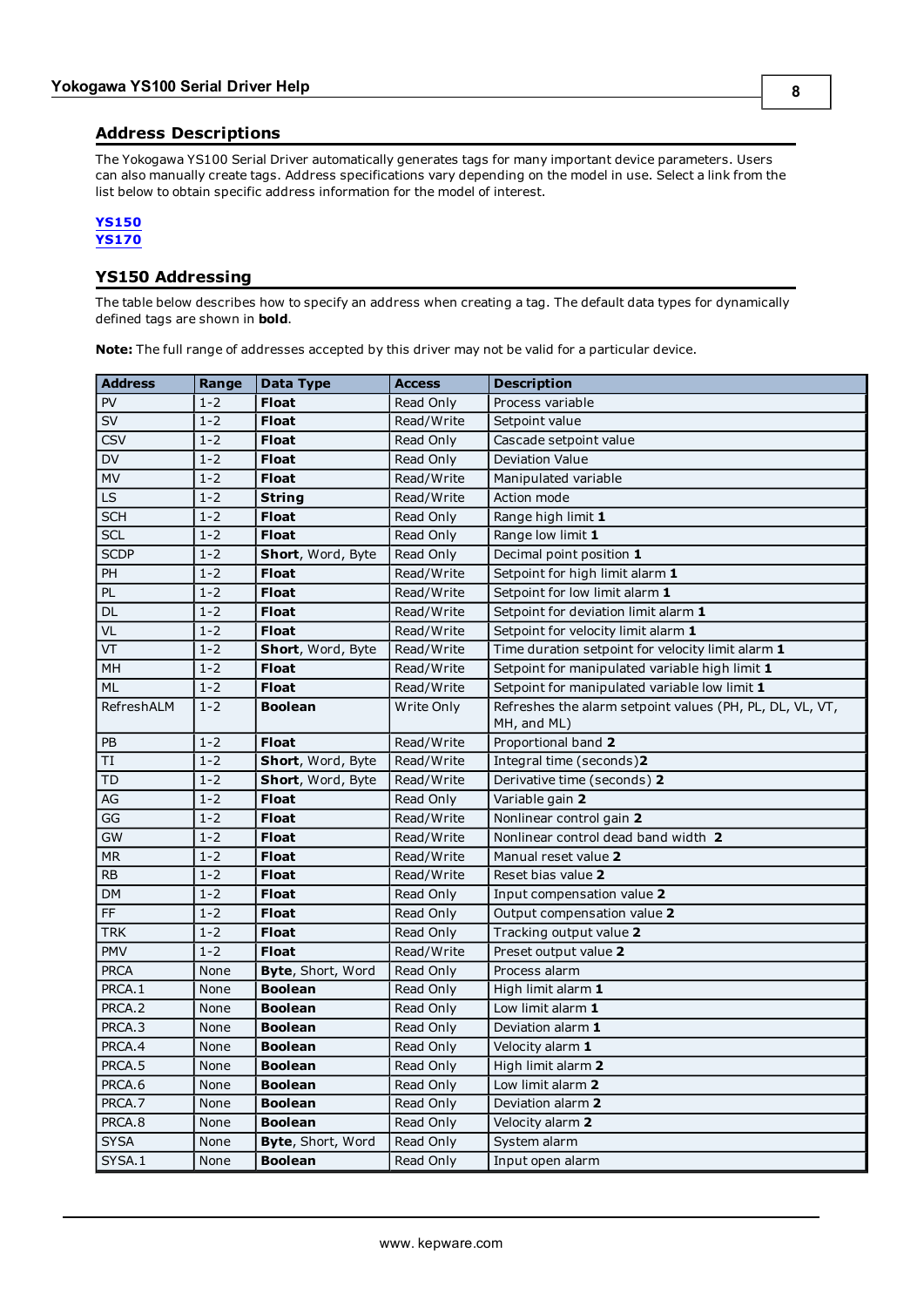<span id="page-7-0"></span>The Yokogawa YS100 Serial Driver automatically generates tags for many important device parameters. Users can also manually create tags. Address specifications vary depending on the model in use. Select a link from the list below to obtain specific address information for the model of interest.

#### **[YS150](#page-7-1) [YS170](#page-9-0)**

### <span id="page-7-1"></span>**YS150 Addressing**

The table below describes how to specify an address when creating a tag. The default data types for dynamically defined tags are shown in **bold**.

**Note:** The full range of addresses accepted by this driver may not be valid for a particular device.

| <b>Address</b>                    | Range   | <b>Data Type</b>         | <b>Access</b> | <b>Description</b>                                                      |  |
|-----------------------------------|---------|--------------------------|---------------|-------------------------------------------------------------------------|--|
| PV                                | $1 - 2$ | <b>Float</b>             | Read Only     | Process variable                                                        |  |
| $\overline{\mathsf{S}}\mathsf{V}$ | $1 - 2$ | <b>Float</b>             | Read/Write    | Setpoint value                                                          |  |
| <b>CSV</b>                        | $1 - 2$ | <b>Float</b>             | Read Only     | Cascade setpoint value                                                  |  |
| <b>DV</b>                         | $1 - 2$ | <b>Float</b>             | Read Only     | <b>Deviation Value</b>                                                  |  |
| <b>MV</b>                         | $1 - 2$ | <b>Float</b>             | Read/Write    | Manipulated variable                                                    |  |
| <b>LS</b>                         | $1 - 2$ | <b>String</b>            | Read/Write    | Action mode                                                             |  |
| <b>SCH</b>                        | $1 - 2$ | <b>Float</b>             | Read Only     | Range high limit 1                                                      |  |
| SCL                               | $1 - 2$ | <b>Float</b>             | Read Only     | Range low limit 1                                                       |  |
| <b>SCDP</b>                       | $1 - 2$ | Short, Word, Byte        | Read Only     | Decimal point position 1                                                |  |
| PH                                | $1 - 2$ | <b>Float</b>             | Read/Write    | Setpoint for high limit alarm 1                                         |  |
| PL                                | $1 - 2$ | <b>Float</b>             | Read/Write    | Setpoint for low limit alarm 1                                          |  |
| DL                                | $1 - 2$ | <b>Float</b>             | Read/Write    | Setpoint for deviation limit alarm 1                                    |  |
| VL                                | $1 - 2$ | <b>Float</b>             | Read/Write    | Setpoint for velocity limit alarm 1                                     |  |
| VT                                | $1 - 2$ | Short, Word, Byte        | Read/Write    | Time duration setpoint for velocity limit alarm 1                       |  |
| MH                                | $1 - 2$ | <b>Float</b>             | Read/Write    | Setpoint for manipulated variable high limit 1                          |  |
| ML                                | $1 - 2$ | <b>Float</b>             | Read/Write    | Setpoint for manipulated variable low limit 1                           |  |
| RefreshALM                        | $1 - 2$ | <b>Boolean</b>           | Write Only    | Refreshes the alarm setpoint values (PH, PL, DL, VL, VT,<br>MH, and ML) |  |
| PB                                | $1 - 2$ | <b>Float</b>             | Read/Write    | Proportional band 2                                                     |  |
| TI                                | $1 - 2$ | Short, Word, Byte        | Read/Write    | Integral time (seconds)2                                                |  |
| <b>TD</b>                         | $1 - 2$ | Short, Word, Byte        | Read/Write    | Derivative time (seconds) 2                                             |  |
| AG                                | $1 - 2$ | <b>Float</b>             | Read Only     | Variable gain 2                                                         |  |
| GG                                | $1 - 2$ | <b>Float</b>             | Read/Write    | Nonlinear control gain 2                                                |  |
| <b>GW</b>                         | $1 - 2$ | <b>Float</b>             | Read/Write    | Nonlinear control dead band width 2                                     |  |
| <b>MR</b>                         | $1 - 2$ | <b>Float</b>             | Read/Write    | Manual reset value 2                                                    |  |
| <b>RB</b>                         | $1-2$   | <b>Float</b>             | Read/Write    | Reset bias value 2                                                      |  |
| <b>DM</b>                         | $1 - 2$ | <b>Float</b>             | Read Only     | Input compensation value 2                                              |  |
| <b>FF</b>                         | $1 - 2$ | <b>Float</b>             | Read Only     | Output compensation value 2                                             |  |
| <b>TRK</b>                        | $1 - 2$ | <b>Float</b>             | Read Only     | Tracking output value 2                                                 |  |
| <b>PMV</b>                        | $1 - 2$ | <b>Float</b>             | Read/Write    | Preset output value 2                                                   |  |
| <b>PRCA</b>                       | None    | <b>Byte, Short, Word</b> | Read Only     | Process alarm                                                           |  |
| PRCA.1                            | None    | <b>Boolean</b>           | Read Only     | High limit alarm 1                                                      |  |
| PRCA.2                            | None    | <b>Boolean</b>           | Read Only     | Low limit alarm 1                                                       |  |
| PRCA.3                            | None    | <b>Boolean</b>           | Read Only     | Deviation alarm 1                                                       |  |
| PRCA.4                            | None    | <b>Boolean</b>           | Read Only     | Velocity alarm 1                                                        |  |
| PRCA.5                            | None    | <b>Boolean</b>           | Read Only     | High limit alarm 2                                                      |  |
| PRCA.6                            | None    | <b>Boolean</b>           | Read Only     | Low limit alarm 2                                                       |  |
| PRCA.7                            | None    | <b>Boolean</b>           | Read Only     | Deviation alarm 2                                                       |  |
| PRCA.8                            | None    | <b>Boolean</b>           | Read Only     | Velocity alarm 2                                                        |  |
| <b>SYSA</b>                       | None    | Byte, Short, Word        | Read Only     | System alarm                                                            |  |
| SYSA.1                            | None    | <b>Boolean</b>           | Read Only     | Input open alarm                                                        |  |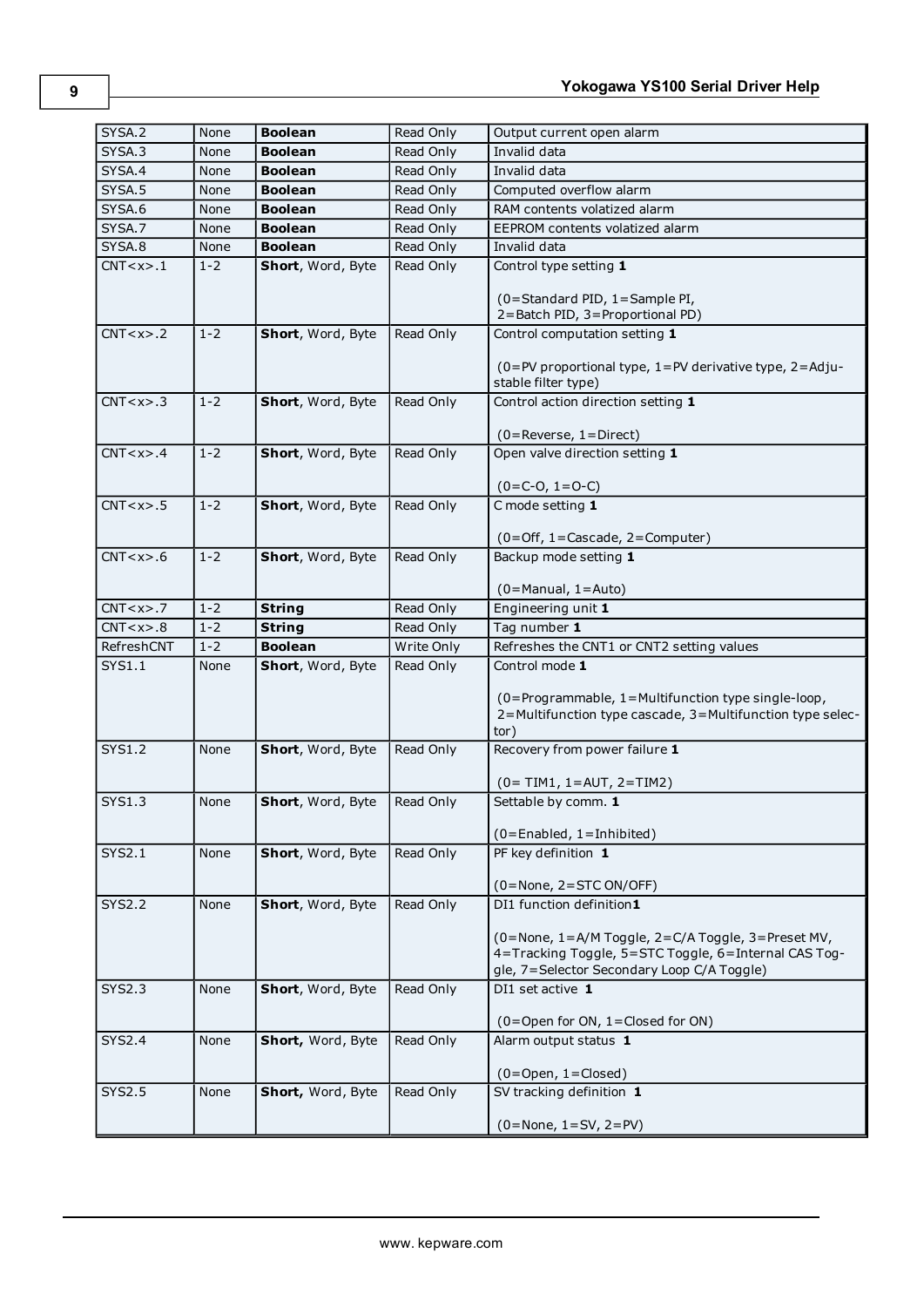| SYSA.2        | None    | <b>Boolean</b>    | Read Only  | Output current open alarm                                                                                       |
|---------------|---------|-------------------|------------|-----------------------------------------------------------------------------------------------------------------|
| SYSA.3        | None    | <b>Boolean</b>    | Read Only  | Invalid data                                                                                                    |
| SYSA.4        | None    | <b>Boolean</b>    | Read Only  | Invalid data                                                                                                    |
| SYSA.5        | None    | <b>Boolean</b>    | Read Only  | Computed overflow alarm                                                                                         |
| SYSA.6        | None    | <b>Boolean</b>    | Read Only  | RAM contents volatized alarm                                                                                    |
| SYSA.7        | None    | <b>Boolean</b>    | Read Only  | EEPROM contents volatized alarm                                                                                 |
| SYSA.8        | None    | <b>Boolean</b>    | Read Only  | Invalid data                                                                                                    |
| CNT < x > 1   | $1 - 2$ | Short, Word, Byte | Read Only  | Control type setting 1                                                                                          |
|               |         |                   |            |                                                                                                                 |
|               |         |                   |            | (0=Standard PID, 1=Sample PI,                                                                                   |
|               |         |                   |            | 2=Batch PID, 3=Proportional PD)                                                                                 |
| CNT < x > .2  | $1 - 2$ | Short, Word, Byte | Read Only  | Control computation setting 1                                                                                   |
|               |         |                   |            | (0=PV proportional type, 1=PV derivative type, 2=Adju-                                                          |
|               |         |                   |            | stable filter type)                                                                                             |
| CNT < x > .3  | $1 - 2$ | Short, Word, Byte | Read Only  | Control action direction setting 1                                                                              |
|               |         |                   |            |                                                                                                                 |
|               |         |                   |            | $(0 =$ Reverse, $1 =$ Direct)                                                                                   |
| CNT < x > .4  | $1 - 2$ | Short, Word, Byte | Read Only  | Open valve direction setting 1                                                                                  |
|               |         |                   |            | $(0=C-O, 1=O-C)$                                                                                                |
| CNT < x > .5  | $1 - 2$ | Short, Word, Byte | Read Only  | C mode setting 1                                                                                                |
|               |         |                   |            |                                                                                                                 |
|               |         |                   |            | $(0 = Off, 1 = Cascade, 2 = Computer)$                                                                          |
| CNT < x > .6  | $1 - 2$ | Short, Word, Byte | Read Only  | Backup mode setting 1                                                                                           |
|               |         |                   |            |                                                                                                                 |
|               |         |                   |            | $(0=$ Manual, $1=$ Auto)                                                                                        |
| CNT < x > .7  | $1 - 2$ | <b>String</b>     | Read Only  | Engineering unit 1                                                                                              |
| CNT < x > .8  | $1 - 2$ | <b>String</b>     | Read Only  | Tag number 1                                                                                                    |
|               |         |                   |            |                                                                                                                 |
| RefreshCNT    | $1 - 2$ | <b>Boolean</b>    | Write Only | Refreshes the CNT1 or CNT2 setting values                                                                       |
| <b>SYS1.1</b> | None    | Short, Word, Byte | Read Only  | Control mode 1                                                                                                  |
|               |         |                   |            |                                                                                                                 |
|               |         |                   |            | (0=Programmable, 1=Multifunction type single-loop,<br>2=Multifunction type cascade, 3=Multifunction type selec- |
|               |         |                   |            | tor)                                                                                                            |
| <b>SYS1.2</b> | None    | Short, Word, Byte | Read Only  | Recovery from power failure 1                                                                                   |
|               |         |                   |            |                                                                                                                 |
|               |         |                   |            | $(0 = TIM1, 1 = AUT, 2 = TIM2)$                                                                                 |
| <b>SYS1.3</b> | None    | Short, Word, Byte | Read Only  | Settable by comm. 1                                                                                             |
|               |         |                   |            | $(0 =$ Enabled, 1 = Inhibited)                                                                                  |
| SYS2.1        | None    | Short, Word, Byte | Read Only  | PF key definition $1$                                                                                           |
|               |         |                   |            |                                                                                                                 |
|               |         |                   |            | $(0 = None, 2 = STC ON/OFF)$                                                                                    |
| <b>SYS2.2</b> | None    | Short, Word, Byte | Read Only  | DI1 function definition1                                                                                        |
|               |         |                   |            | (0=None, 1=A/M Toggle, 2=C/A Toggle, 3=Preset MV,                                                               |
|               |         |                   |            | 4=Tracking Toggle, 5=STC Toggle, 6=Internal CAS Tog-                                                            |
|               |         |                   |            | gle, 7=Selector Secondary Loop C/A Toggle)                                                                      |
| <b>SYS2.3</b> | None    | Short, Word, Byte | Read Only  | DI1 set active 1                                                                                                |
|               |         |                   |            |                                                                                                                 |
|               |         |                   |            | (0=Open for ON, 1=Closed for ON)                                                                                |
| SYS2.4        | None    | Short, Word, Byte | Read Only  | Alarm output status 1                                                                                           |
|               |         |                   |            |                                                                                                                 |
| <b>SYS2.5</b> | None    | Short, Word, Byte | Read Only  | $(0 = Open, 1 = Closed)$<br>SV tracking definition 1                                                            |
|               |         |                   |            | $(0 = None, 1 = SV, 2 = PV)$                                                                                    |

**9**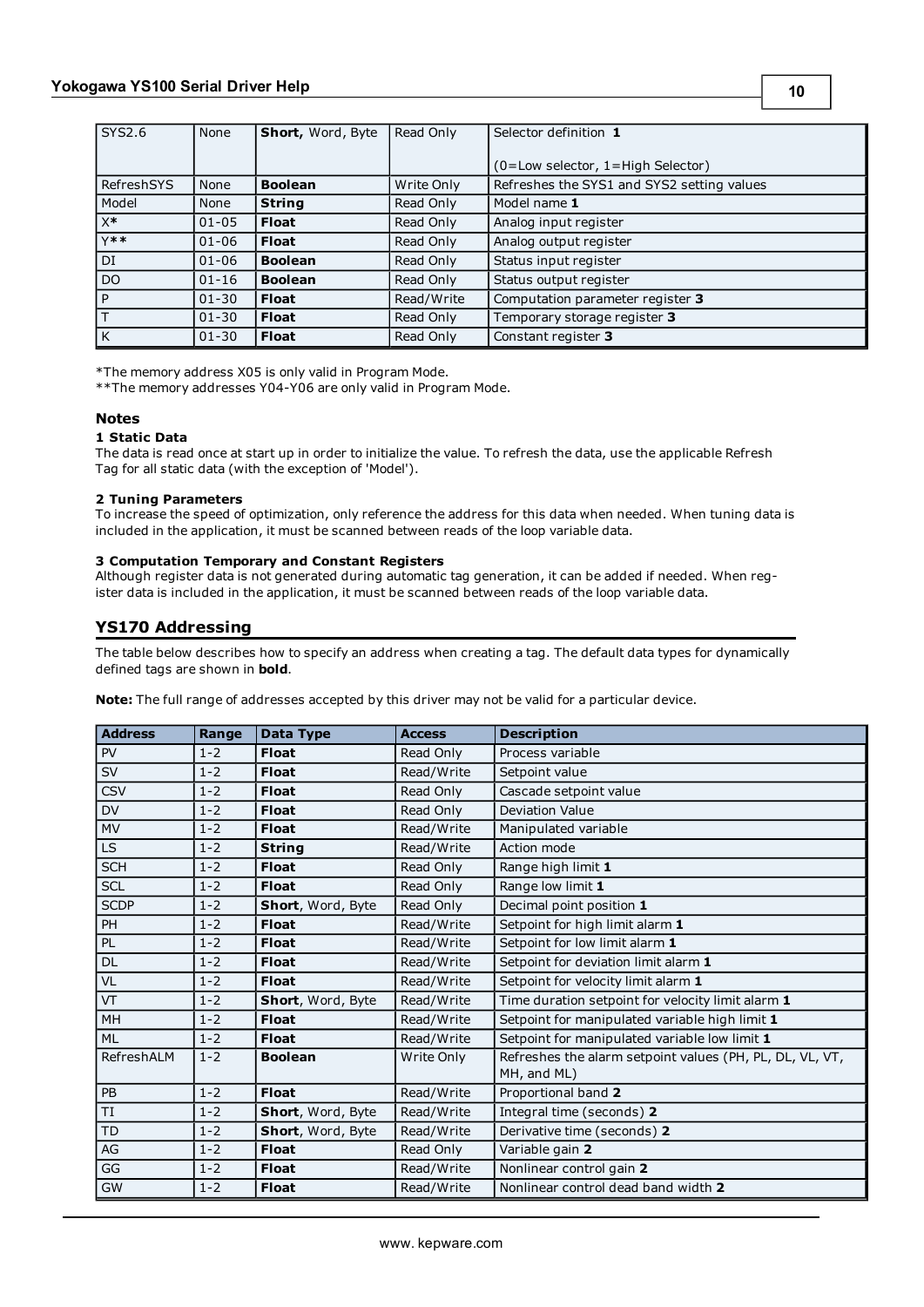| SYS2.6         | <b>None</b> | <b>Short, Word, Byte</b> | Read Only  | Selector definition 1                      |  |
|----------------|-------------|--------------------------|------------|--------------------------------------------|--|
|                |             |                          |            |                                            |  |
|                |             |                          |            | (0=Low selector, 1=High Selector)          |  |
| RefreshSYS     | None        | <b>Boolean</b>           | Write Only | Refreshes the SYS1 and SYS2 setting values |  |
| Model          | None        | <b>String</b>            | Read Only  | Model name 1                               |  |
| $\mathsf{X}^*$ | $01 - 05$   | <b>Float</b>             | Read Only  | Analog input register                      |  |
| $Y$ **         | $01 - 06$   | <b>Float</b>             | Read Only  | Analog output register                     |  |
| DI             | $01 - 06$   | <b>Boolean</b>           | Read Only  | Status input register                      |  |
| D <sub>O</sub> | $01 - 16$   | <b>Boolean</b>           | Read Only  | Status output register                     |  |
| P              | $01 - 30$   | <b>Float</b>             | Read/Write | Computation parameter register 3           |  |
|                | $01 - 30$   | <b>Float</b>             | Read Only  | Temporary storage register 3               |  |
| K              | $01 - 30$   | <b>Float</b>             | Read Only  | Constant register 3                        |  |

\*The memory address X05 is only valid in Program Mode.

\*\*The memory addresses Y04-Y06 are only valid in Program Mode.

#### **Notes**

#### **1 Static Data**

The data is read once at start up in order to initialize the value. To refresh the data, use the applicable Refresh Tag for all static data (with the exception of 'Model').

#### **2 Tuning Parameters**

To increase the speed of optimization, only reference the address for this data when needed. When tuning data is included in the application, it must be scanned between reads of the loop variable data.

#### **3 Computation Temporary and Constant Registers**

Although register data is not generated during automatic tag generation, it can be added if needed. When register data is included in the application, it must be scanned between reads of the loop variable data.

#### <span id="page-9-0"></span>**YS170 Addressing**

The table below describes how to specify an address when creating a tag. The default data types for dynamically defined tags are shown in **bold**.

**Note:** The full range of addresses accepted by this driver may not be valid for a particular device.

| <b>Address</b> | Range   | Data Type         | <b>Access</b> | <b>Description</b>                                                      |  |
|----------------|---------|-------------------|---------------|-------------------------------------------------------------------------|--|
| PV             | $1 - 2$ | <b>Float</b>      | Read Only     | Process variable                                                        |  |
| SV             | $1 - 2$ | <b>Float</b>      | Read/Write    | Setpoint value                                                          |  |
| <b>CSV</b>     | $1 - 2$ | <b>Float</b>      | Read Only     | Cascade setpoint value                                                  |  |
| DV             | $1 - 2$ | <b>Float</b>      | Read Only     | <b>Deviation Value</b>                                                  |  |
| MV             | $1 - 2$ | <b>Float</b>      | Read/Write    | Manipulated variable                                                    |  |
| LS             | $1 - 2$ | <b>String</b>     | Read/Write    | Action mode                                                             |  |
| <b>SCH</b>     | $1 - 2$ | <b>Float</b>      | Read Only     | Range high limit 1                                                      |  |
| <b>SCL</b>     | $1 - 2$ | <b>Float</b>      | Read Only     | Range low limit 1                                                       |  |
| <b>SCDP</b>    | $1 - 2$ | Short, Word, Byte | Read Only     | Decimal point position 1                                                |  |
| PH             | $1 - 2$ | <b>Float</b>      | Read/Write    | Setpoint for high limit alarm 1                                         |  |
| PL             | $1 - 2$ | <b>Float</b>      | Read/Write    | Setpoint for low limit alarm 1                                          |  |
| <b>DL</b>      | $1 - 2$ | <b>Float</b>      | Read/Write    | Setpoint for deviation limit alarm 1                                    |  |
| VL             | $1 - 2$ | <b>Float</b>      | Read/Write    | Setpoint for velocity limit alarm 1                                     |  |
| VT             | $1 - 2$ | Short, Word, Byte | Read/Write    | Time duration setpoint for velocity limit alarm 1                       |  |
| MH             | $1 - 2$ | <b>Float</b>      | Read/Write    | Setpoint for manipulated variable high limit 1                          |  |
| <b>ML</b>      | $1 - 2$ | <b>Float</b>      | Read/Write    | Setpoint for manipulated variable low limit 1                           |  |
| RefreshALM     | $1 - 2$ | <b>Boolean</b>    | Write Only    | Refreshes the alarm setpoint values (PH, PL, DL, VL, VT,<br>MH, and ML) |  |
| $\mathsf{PB}$  | $1 - 2$ | <b>Float</b>      | Read/Write    | Proportional band 2                                                     |  |
| TI             | $1 - 2$ | Short, Word, Byte | Read/Write    | Integral time (seconds) 2                                               |  |
| TD             | $1 - 2$ | Short, Word, Byte | Read/Write    | Derivative time (seconds) 2                                             |  |
| AG             | $1 - 2$ | <b>Float</b>      | Read Only     | Variable gain 2                                                         |  |
| GG             | $1 - 2$ | <b>Float</b>      | Read/Write    | Nonlinear control gain 2                                                |  |
| GW             | $1 - 2$ | <b>Float</b>      | Read/Write    | Nonlinear control dead band width 2                                     |  |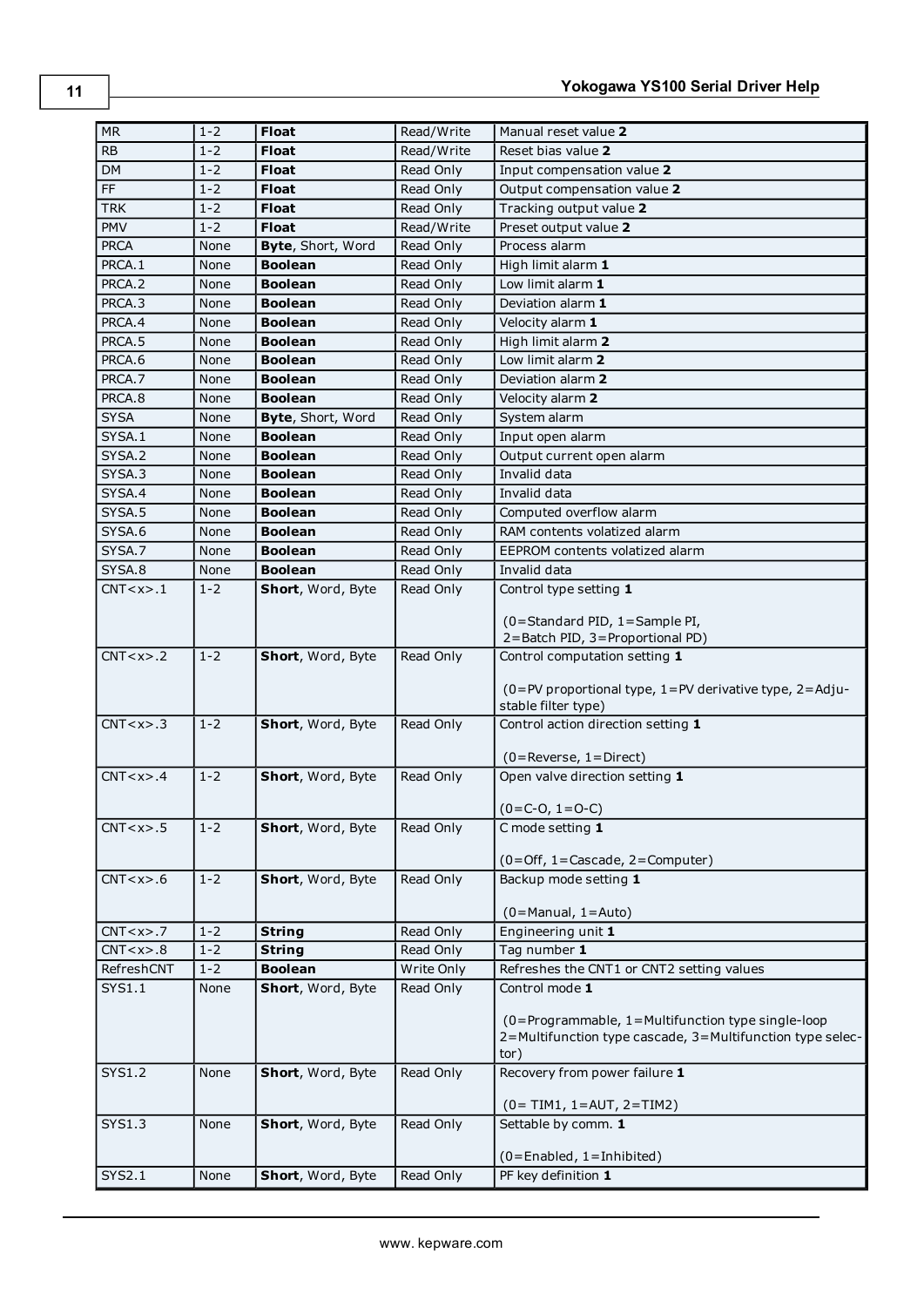| <b>MR</b>       | $1 - 2$ | <b>Float</b>      | Read/Write | Manual reset value 2                                                                                                   |
|-----------------|---------|-------------------|------------|------------------------------------------------------------------------------------------------------------------------|
| <b>RB</b>       | $1 - 2$ | <b>Float</b>      | Read/Write | Reset bias value 2                                                                                                     |
| DM              | $1 - 2$ | <b>Float</b>      | Read Only  | Input compensation value 2                                                                                             |
| $\overline{FF}$ | $1 - 2$ | <b>Float</b>      | Read Only  | Output compensation value 2                                                                                            |
| <b>TRK</b>      | $1 - 2$ | <b>Float</b>      | Read Only  | Tracking output value 2                                                                                                |
| PMV             | $1 - 2$ | <b>Float</b>      | Read/Write | Preset output value 2                                                                                                  |
| <b>PRCA</b>     | None    | Byte, Short, Word | Read Only  | Process alarm                                                                                                          |
| PRCA.1          | None    | <b>Boolean</b>    | Read Only  | High limit alarm 1                                                                                                     |
| PRCA.2          | None    | <b>Boolean</b>    | Read Only  | Low limit alarm 1                                                                                                      |
| PRCA.3          | None    | <b>Boolean</b>    | Read Only  | Deviation alarm 1                                                                                                      |
| PRCA.4          | None    | <b>Boolean</b>    | Read Only  | Velocity alarm 1                                                                                                       |
| PRCA.5          | None    | <b>Boolean</b>    | Read Only  | High limit alarm 2                                                                                                     |
| PRCA.6          | None    | <b>Boolean</b>    | Read Only  | Low limit alarm 2                                                                                                      |
| PRCA.7          | None    | <b>Boolean</b>    | Read Only  | Deviation alarm 2                                                                                                      |
| PRCA.8          | None    | <b>Boolean</b>    | Read Only  | Velocity alarm 2                                                                                                       |
| <b>SYSA</b>     | None    | Byte, Short, Word | Read Only  | System alarm                                                                                                           |
| SYSA.1          | None    | <b>Boolean</b>    | Read Only  | Input open alarm                                                                                                       |
| SYSA.2          | None    | <b>Boolean</b>    | Read Only  | Output current open alarm                                                                                              |
| SYSA.3          | None    | <b>Boolean</b>    | Read Only  | Invalid data                                                                                                           |
| SYSA.4          | None    | <b>Boolean</b>    | Read Only  | Invalid data                                                                                                           |
| SYSA.5          | None    | <b>Boolean</b>    | Read Only  | Computed overflow alarm                                                                                                |
| SYSA.6          | None    | <b>Boolean</b>    | Read Only  | RAM contents volatized alarm                                                                                           |
| SYSA.7          | None    | <b>Boolean</b>    | Read Only  | EEPROM contents volatized alarm                                                                                        |
| SYSA.8          | None    | <b>Boolean</b>    | Read Only  | Invalid data                                                                                                           |
| CNT < x > 1     | $1 - 2$ | Short, Word, Byte | Read Only  | Control type setting 1                                                                                                 |
|                 |         |                   |            | (0=Standard PID, 1=Sample PI,<br>2=Batch PID, 3=Proportional PD)                                                       |
| CNT < x > 0.2   | $1 - 2$ | Short, Word, Byte | Read Only  | Control computation setting 1                                                                                          |
|                 |         |                   |            | (0=PV proportional type, 1=PV derivative type, 2=Adju-<br>stable filter type)                                          |
| CNT < x > .3    | $1 - 2$ | Short, Word, Byte | Read Only  | Control action direction setting 1                                                                                     |
|                 |         |                   |            |                                                                                                                        |
|                 |         |                   |            | $(0 =$ Reverse, $1 =$ Direct)                                                                                          |
| CNT < x > .4    | $1 - 2$ | Short, Word, Byte | Read Only  | Open valve direction setting 1                                                                                         |
| CNT < x > .5    |         | Short, Word, Byte | Read Only  | $(0=C-O, 1=O-C)$<br>C mode setting 1                                                                                   |
|                 | $1 - 2$ |                   |            |                                                                                                                        |
|                 |         |                   |            | (0=Off, 1=Cascade, 2=Computer)                                                                                         |
| CNT < x > .6    | $1 - 2$ | Short, Word, Byte | Read Only  | Backup mode setting 1                                                                                                  |
|                 |         |                   |            | $(0=$ Manual, $1=$ Auto)                                                                                               |
| CNT < x > .7    | $1 - 2$ | <b>String</b>     | Read Only  | Engineering unit 1                                                                                                     |
| CNT < x > .8    | $1 - 2$ | <b>String</b>     | Read Only  | Tag number 1                                                                                                           |
| RefreshCNT      | $1 - 2$ | <b>Boolean</b>    | Write Only | Refreshes the CNT1 or CNT2 setting values                                                                              |
| SYS1.1          | None    | Short, Word, Byte | Read Only  | Control mode 1                                                                                                         |
|                 |         |                   |            | (0=Programmable, 1=Multifunction type single-loop<br>2=Multifunction type cascade, 3=Multifunction type selec-<br>tor) |
| <b>SYS1.2</b>   | None    | Short, Word, Byte | Read Only  | Recovery from power failure 1                                                                                          |
|                 |         |                   |            | $(0 = TIM1, 1 = AUT, 2 = TIM2)$                                                                                        |
| SYS1.3          | None    | Short, Word, Byte | Read Only  | Settable by comm. 1                                                                                                    |
|                 |         |                   |            |                                                                                                                        |
|                 |         |                   |            | (0=Enabled, 1=Inhibited)                                                                                               |
| SYS2.1          | None    | Short, Word, Byte | Read Only  | PF key definition 1                                                                                                    |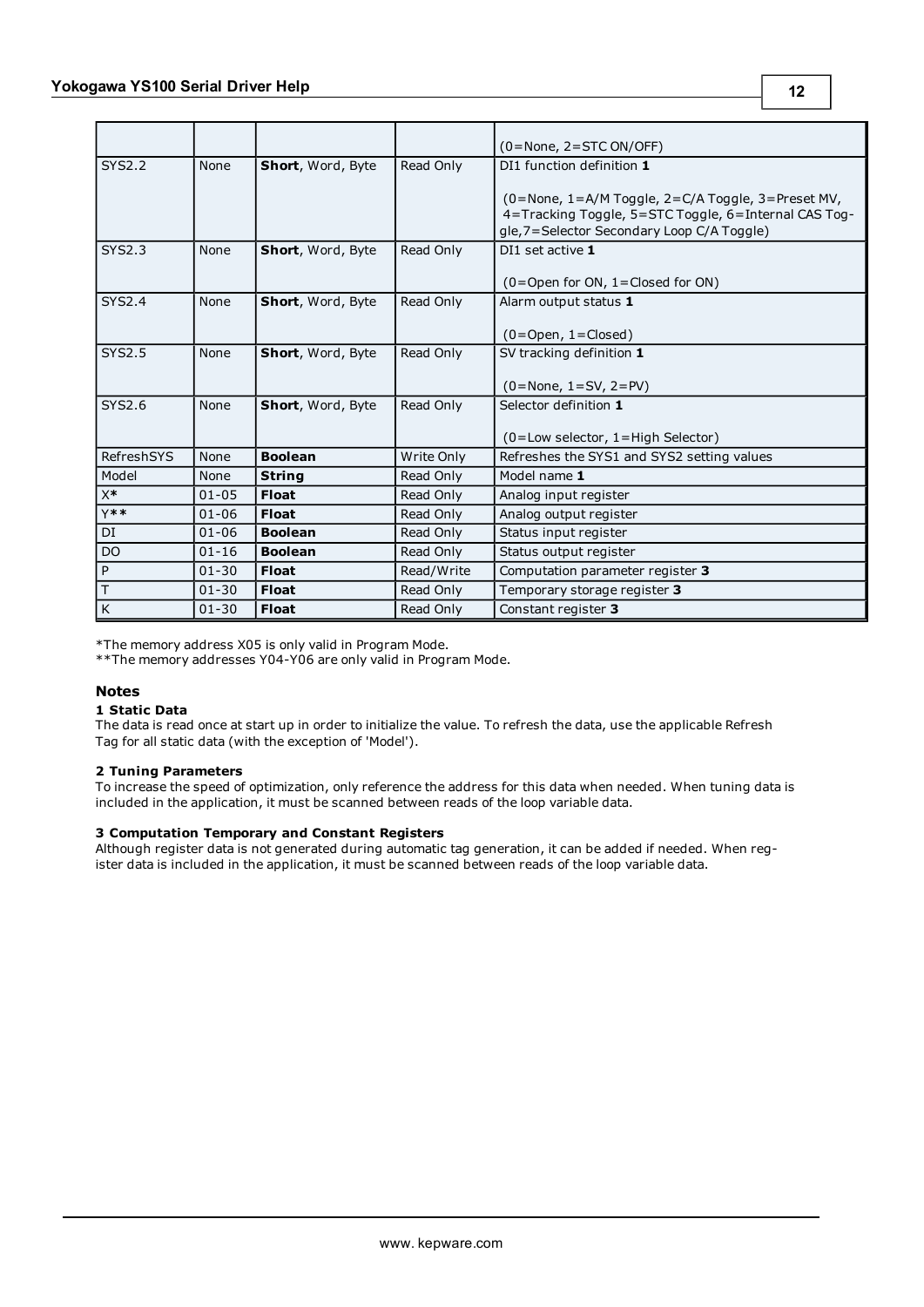|                         |           |                   |            | $(0 = None, 2 = STC ON/OFF)$                                 |
|-------------------------|-----------|-------------------|------------|--------------------------------------------------------------|
| <b>SYS2.2</b>           | None      | Short, Word, Byte | Read Only  | DI1 function definition 1                                    |
|                         |           |                   |            | $(0 = None, 1 = A/M Toggle, 2 = C/A Toggle, 3 = Present MV,$ |
|                         |           |                   |            | 4=Tracking Toggle, 5=STC Toggle, 6=Internal CAS Tog-         |
|                         |           |                   |            | gle, 7 = Selector Secondary Loop C/A Toggle)                 |
| <b>SYS2.3</b>           | None      | Short, Word, Byte | Read Only  | DI1 set active 1                                             |
|                         |           |                   |            | $(0 =$ Open for ON, 1 = Closed for ON)                       |
| <b>SYS2.4</b>           | None      | Short, Word, Byte | Read Only  | Alarm output status 1                                        |
|                         |           |                   |            |                                                              |
|                         |           |                   |            | $(0 = Open, 1 = Closed)$                                     |
| <b>SYS2.5</b>           | None      | Short, Word, Byte | Read Only  | SV tracking definition 1                                     |
|                         |           |                   |            |                                                              |
|                         |           |                   |            | $(0 = None, 1 = SV, 2 = PV)$                                 |
| SYS2.6                  | None      | Short, Word, Byte | Read Only  | Selector definition 1                                        |
|                         |           |                   |            |                                                              |
|                         |           |                   |            | $(0 = Low selector, 1 = High Selector)$                      |
| RefreshSYS              | None      | <b>Boolean</b>    | Write Only | Refreshes the SYS1 and SYS2 setting values                   |
| Model                   | None      | <b>String</b>     | Read Only  | Model name 1                                                 |
| $X^*$                   | $01 - 05$ | <b>Float</b>      | Read Only  | Analog input register                                        |
| $Y**$                   | $01 - 06$ | <b>Float</b>      | Read Only  | Analog output register                                       |
| DI                      | $01 - 06$ | <b>Boolean</b>    | Read Only  | Status input register                                        |
| D <sub>O</sub>          | $01 - 16$ | <b>Boolean</b>    | Read Only  | Status output register                                       |
| P                       | $01 - 30$ | <b>Float</b>      | Read/Write | Computation parameter register 3                             |
| $\overline{T}$          | $01 - 30$ | <b>Float</b>      | Read Only  | Temporary storage register 3                                 |
| $\overline{\mathsf{K}}$ | $01 - 30$ | <b>Float</b>      | Read Only  | Constant register 3                                          |

\*The memory address X05 is only valid in Program Mode.

\*\*The memory addresses Y04-Y06 are only valid in Program Mode.

#### **Notes**

#### **1 Static Data**

The data is read once at start up in order to initialize the value. To refresh the data, use the applicable Refresh Tag for all static data (with the exception of 'Model').

#### **2 Tuning Parameters**

To increase the speed of optimization, only reference the address for this data when needed. When tuning data is included in the application, it must be scanned between reads of the loop variable data.

#### **3 Computation Temporary and Constant Registers**

Although register data is not generated during automatic tag generation, it can be added if needed. When register data is included in the application, it must be scanned between reads of the loop variable data.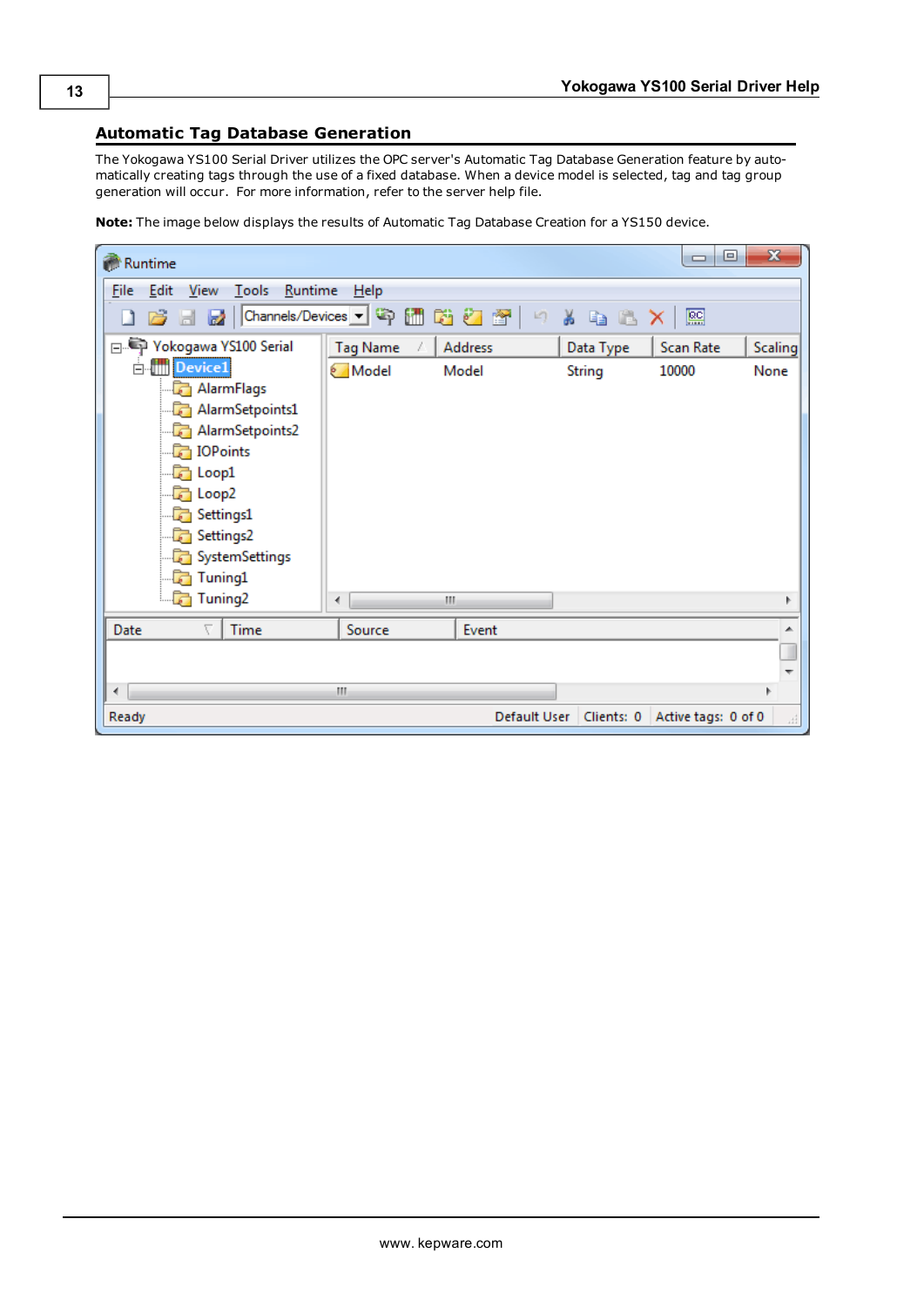### <span id="page-12-0"></span>**Automatic Tag Database Generation**

The Yokogawa YS100 Serial Driver utilizes the OPC server's Automatic Tag Database Generation feature by automatically creating tags through the use of a fixed database. When a device model is selected, tag and tag group generation will occur. For more information, refer to the server help file.

**Note:** The image below displays the results of Automatic Tag Database Creation for a YS150 device.

| Runtime                                                                                                                                                                                                                                                                                                                                                                                                                                                        |                 |                              |                                                 | $\Box$<br>$\Box$  | $\mathbf{x}$   |
|----------------------------------------------------------------------------------------------------------------------------------------------------------------------------------------------------------------------------------------------------------------------------------------------------------------------------------------------------------------------------------------------------------------------------------------------------------------|-----------------|------------------------------|-------------------------------------------------|-------------------|----------------|
| <b>File</b><br>Edit<br><u>V</u> iew <u>T</u> ools <u>R</u> untime                                                                                                                                                                                                                                                                                                                                                                                              | $He$ lp         |                              |                                                 |                   |                |
| $\begin{array}{c c c c c c} \hline \multicolumn{1}{c }{\textbf{a}} & \multicolumn{1}{c }{\textbf{a}} & \multicolumn{1}{c }{\textbf{a}} \\ \hline \multicolumn{1}{c }{\textbf{b}} & \multicolumn{1}{c }{\textbf{b}} & \multicolumn{1}{c }{\textbf{a}} & \multicolumn{1}{c }{\textbf{a}} \\ \hline \multicolumn{1}{c }{\textbf{b}} & \multicolumn{1}{c }{\textbf{b}} & \multicolumn{1}{c }{\textbf{b}} & \multicolumn{1}{c }{\textbf{b}} \\ \hline \multicolumn$ |                 | Channels/Devices • 今 圃 ü Z 图 | 可。<br>y a b                                     | 匷<br>$\mathsf{x}$ |                |
| □ Yokogawa YS100 Serial                                                                                                                                                                                                                                                                                                                                                                                                                                        | <b>Tag Name</b> | <b>Address</b>               | Data Type                                       | Scan Rate         | <b>Scaling</b> |
| <b>E</b> III Device1                                                                                                                                                                                                                                                                                                                                                                                                                                           | Model           | Model                        | <b>String</b>                                   | 10000             | None           |
| AlarmFlags                                                                                                                                                                                                                                                                                                                                                                                                                                                     |                 |                              |                                                 |                   |                |
| AlarmSetpoints1                                                                                                                                                                                                                                                                                                                                                                                                                                                |                 |                              |                                                 |                   |                |
| AlarmSetpoints2                                                                                                                                                                                                                                                                                                                                                                                                                                                |                 |                              |                                                 |                   |                |
| <b>DPoints</b>                                                                                                                                                                                                                                                                                                                                                                                                                                                 |                 |                              |                                                 |                   |                |
| $\Box$ Loop1                                                                                                                                                                                                                                                                                                                                                                                                                                                   |                 |                              |                                                 |                   |                |
| $\Box$ Loop2                                                                                                                                                                                                                                                                                                                                                                                                                                                   |                 |                              |                                                 |                   |                |
| Settings1                                                                                                                                                                                                                                                                                                                                                                                                                                                      |                 |                              |                                                 |                   |                |
| Settings2                                                                                                                                                                                                                                                                                                                                                                                                                                                      |                 |                              |                                                 |                   |                |
| SystemSettings                                                                                                                                                                                                                                                                                                                                                                                                                                                 |                 |                              |                                                 |                   |                |
| <b>For</b> Tuning1                                                                                                                                                                                                                                                                                                                                                                                                                                             |                 |                              |                                                 |                   |                |
| Tuning2                                                                                                                                                                                                                                                                                                                                                                                                                                                        | ∢               | Ш                            |                                                 |                   |                |
| Date<br>Time                                                                                                                                                                                                                                                                                                                                                                                                                                                   | Source          | Event                        |                                                 |                   |                |
|                                                                                                                                                                                                                                                                                                                                                                                                                                                                |                 |                              |                                                 |                   |                |
|                                                                                                                                                                                                                                                                                                                                                                                                                                                                |                 |                              |                                                 |                   |                |
| ∢                                                                                                                                                                                                                                                                                                                                                                                                                                                              | Ш               |                              |                                                 |                   |                |
| Ready                                                                                                                                                                                                                                                                                                                                                                                                                                                          |                 |                              | Default User   Clients: 0   Active tags: 0 of 0 |                   | лÍ             |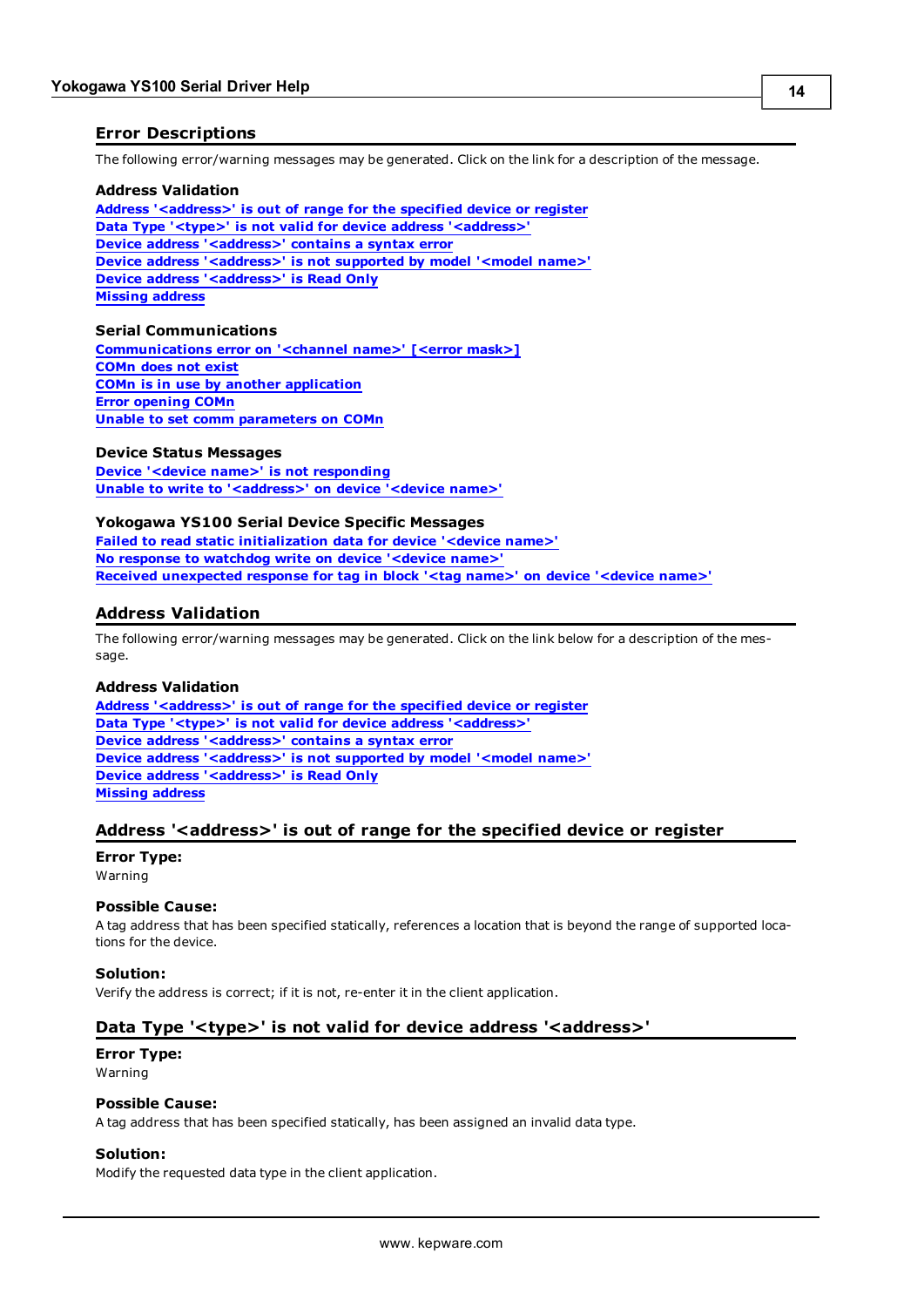### <span id="page-13-0"></span>**Error Descriptions**

The following error/warning messages may be generated. Click on the link for a description of the message.

#### **Address Validation**

**[Address](#page-13-2) ['<address>'](#page-13-2) [is](#page-13-2) [out](#page-13-2) [of](#page-13-2) [range](#page-13-2) [for](#page-13-2) [the](#page-13-2) [specified](#page-13-2) [device](#page-13-2) [or](#page-13-2) [register](#page-13-2) [Data](#page-13-3) [Type](#page-13-3) ['<type>'](#page-13-3) [is](#page-13-3) [not](#page-13-3) [valid](#page-13-3) [for](#page-13-3) [device](#page-13-3) [address](#page-13-3) ['<address>'](#page-13-3) [Device](#page-14-0) [address](#page-14-0) ['<address>'](#page-14-0) [contains](#page-14-0) [a](#page-14-0) [syntax](#page-14-0) [error](#page-14-0) [Device](#page-14-1) [address](#page-14-1) ['<address>'](#page-14-1)** [is](#page-14-1) [not](#page-14-1) [supported](#page-14-1) [by](#page-14-1) [model](#page-14-1) ['<model](#page-14-1) [name>'](#page-14-1) **[Device](#page-14-2) [address](#page-14-2) ['<address>'](#page-14-2) [is](#page-14-2) [Read](#page-14-2) [Only](#page-14-2) [Missing](#page-14-3) [address](#page-14-3)**

#### **Serial Communications**

**[Communications](#page-14-5) [error](#page-14-5) [on](#page-14-5) ['<channel](#page-14-5) [name>'](#page-14-5) [\[<error](#page-14-5) [mask>\]](#page-14-5) [COMn](#page-15-0) [does](#page-15-0) [not](#page-15-0) [exist](#page-15-0) [COMn](#page-15-1) [is](#page-15-1) [in](#page-15-1) [use](#page-15-1) [by](#page-15-1) [another](#page-15-1) [application](#page-15-1) [Error](#page-15-2) [opening](#page-15-2) [COMn](#page-15-2) [Unable](#page-15-3) [to](#page-15-3) [set](#page-15-3) [comm](#page-15-3) [parameters](#page-15-3) [on](#page-15-3) [COMn](#page-15-3)**

#### **Device Status Messages**

**[Device](#page-16-1) ['<device](#page-16-1) [name>'](#page-16-1) [is](#page-16-1) [not](#page-16-1) [responding](#page-16-1) [Unable](#page-16-2) [to](#page-16-2) [write](#page-16-2) [to](#page-16-2) ['<address>'](#page-16-2) [on](#page-16-2) [device](#page-16-2) ['<device](#page-16-2) [name>'](#page-16-2)**

#### **Yokogawa YS100 Serial Device Specific Messages**

**[Failed](#page-16-4) [to](#page-16-4) [read](#page-16-4) [static](#page-16-4) [initialization](#page-16-4) [data](#page-16-4) [for](#page-16-4) [device](#page-16-4) ['<device](#page-16-4) [name>'](#page-16-4) [No](#page-17-0) [response](#page-17-0) [to](#page-17-0) [watchdog](#page-17-0) [write](#page-17-0) [on](#page-17-0) [device](#page-17-0) ['<device](#page-17-0) [name>'](#page-17-0) [Received](#page-17-1) [unexpected](#page-17-1) [response](#page-17-1) [for](#page-17-1) [tag](#page-17-1) [in](#page-17-1) [block](#page-17-1) ['<tag](#page-17-1) [name>'](#page-17-1) [on](#page-17-1) [device](#page-17-1) ['<device](#page-17-1) [name>'](#page-17-1)**

#### <span id="page-13-1"></span>**Address Validation**

The following error/warning messages may be generated. Click on the link below for a description of the message.

#### **Address Validation**

**[Address](#page-13-2) ['<address>'](#page-13-2) [is](#page-13-2) [out](#page-13-2) [of](#page-13-2) [range](#page-13-2) [for](#page-13-2) [the](#page-13-2) [specified](#page-13-2) [device](#page-13-2) [or](#page-13-2) [register](#page-13-2) [Data](#page-13-3) [Type](#page-13-3) ['<type>'](#page-13-3) [is](#page-13-3) [not](#page-13-3) [valid](#page-13-3) [for](#page-13-3) [device](#page-13-3) [address](#page-13-3) ['<address>'](#page-13-3) [Device](#page-14-0) [address](#page-14-0) ['<address>'](#page-14-0) [contains](#page-14-0) [a](#page-14-0) [syntax](#page-14-0) [error](#page-14-0) [Device](#page-14-1) [address](#page-14-1) ['<address>'](#page-14-1) [is](#page-14-1) [not](#page-14-1) [supported](#page-14-1) [by](#page-14-1) [model](#page-14-1) ['<model](#page-14-1) [name>'](#page-14-1) [Device](#page-14-2) [address](#page-14-2) ['<address>'](#page-14-2) [is](#page-14-2) [Read](#page-14-2) [Only](#page-14-2) [Missing](#page-14-3) [address](#page-14-3)**

### <span id="page-13-2"></span>**Address '<address>' is out of range for the specified device or register**

#### **Error Type:** Warning

### **Possible Cause:**

A tag address that has been specified statically, references a location that is beyond the range of supported locations for the device.

#### **Solution:**

<span id="page-13-3"></span>Verify the address is correct; if it is not, re-enter it in the client application.

#### Data Type '<type>' is not valid for device address '<address>'

## **Error Type:**

Warning

#### **Possible Cause:**

A tag address that has been specified statically, has been assigned an invalid data type.

#### **Solution:**

Modify the requested data type in the client application.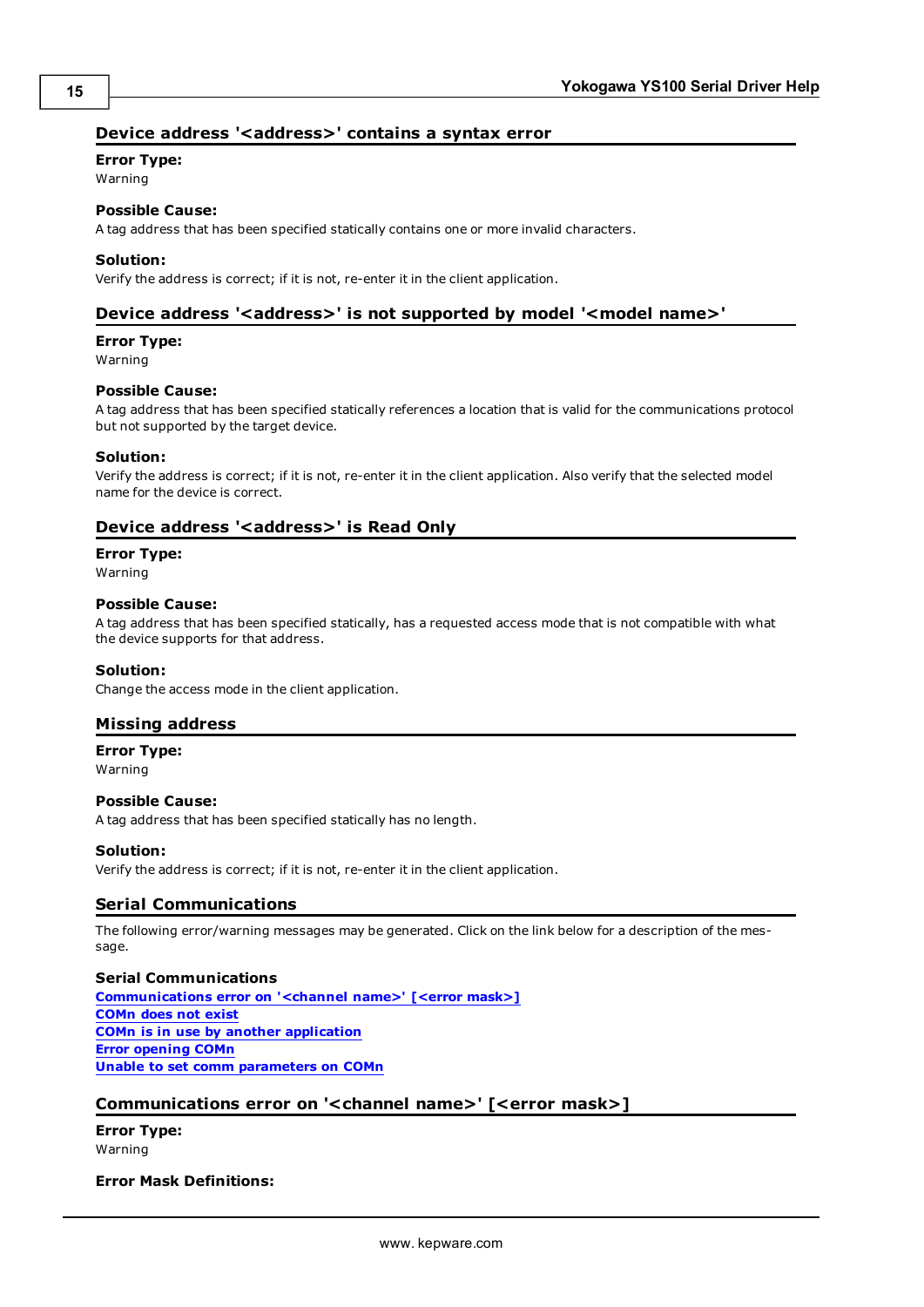### <span id="page-14-0"></span>Device address '<address>' contains a syntax error

### **Error Type:**

Warning

# **Possible Cause:**

A tag address that has been specified statically contains one or more invalid characters.

#### **Solution:**

<span id="page-14-1"></span>Verify the address is correct; if it is not, re-enter it in the client application.

#### Device address '<address>' is not supported by model '<model name>'

#### **Error Type:**

Warning

#### **Possible Cause:**

A tag address that has been specified statically references a location that is valid for the communications protocol but not supported by the target device.

#### **Solution:**

Verify the address is correct; if it is not, re-enter it in the client application. Also verify that the selected model name for the device is correct.

#### <span id="page-14-2"></span>**Device address '<address>' is Read Only**

#### **Error Type:**

Warning

#### **Possible Cause:**

A tag address that has been specified statically, has a requested access mode that is not compatible with what the device supports for that address.

#### **Solution:**

<span id="page-14-3"></span>Change the access mode in the client application.

#### **Missing address**

**Error Type:**

Warning

#### **Possible Cause:**

A tag address that has been specified statically has no length.

#### **Solution:**

<span id="page-14-4"></span>Verify the address is correct; if it is not, re-enter it in the client application.

### **Serial Communications**

The following error/warning messages may be generated. Click on the link below for a description of the message.

#### **Serial Communications**

**[Communications](#page-14-5) [error](#page-14-5) [on](#page-14-5) ['<channel](#page-14-5) [name>'](#page-14-5) [\[<error](#page-14-5) [mask>\]](#page-14-5) [COMn](#page-15-0) [does](#page-15-0) [not](#page-15-0) [exist](#page-15-0) [COMn](#page-15-1) [is](#page-15-1) [in](#page-15-1) [use](#page-15-1) [by](#page-15-1) [another](#page-15-1) [application](#page-15-1) [Error](#page-15-2) [opening](#page-15-2) [COMn](#page-15-2) [Unable](#page-15-3) [to](#page-15-3) [set](#page-15-3) [comm](#page-15-3) [parameters](#page-15-3) [on](#page-15-3) [COMn](#page-15-3)**

#### <span id="page-14-5"></span>**Communications error on '<channel name>' [<error mask>]**

**Error Type:** Warning

#### **Error Mask Definitions:**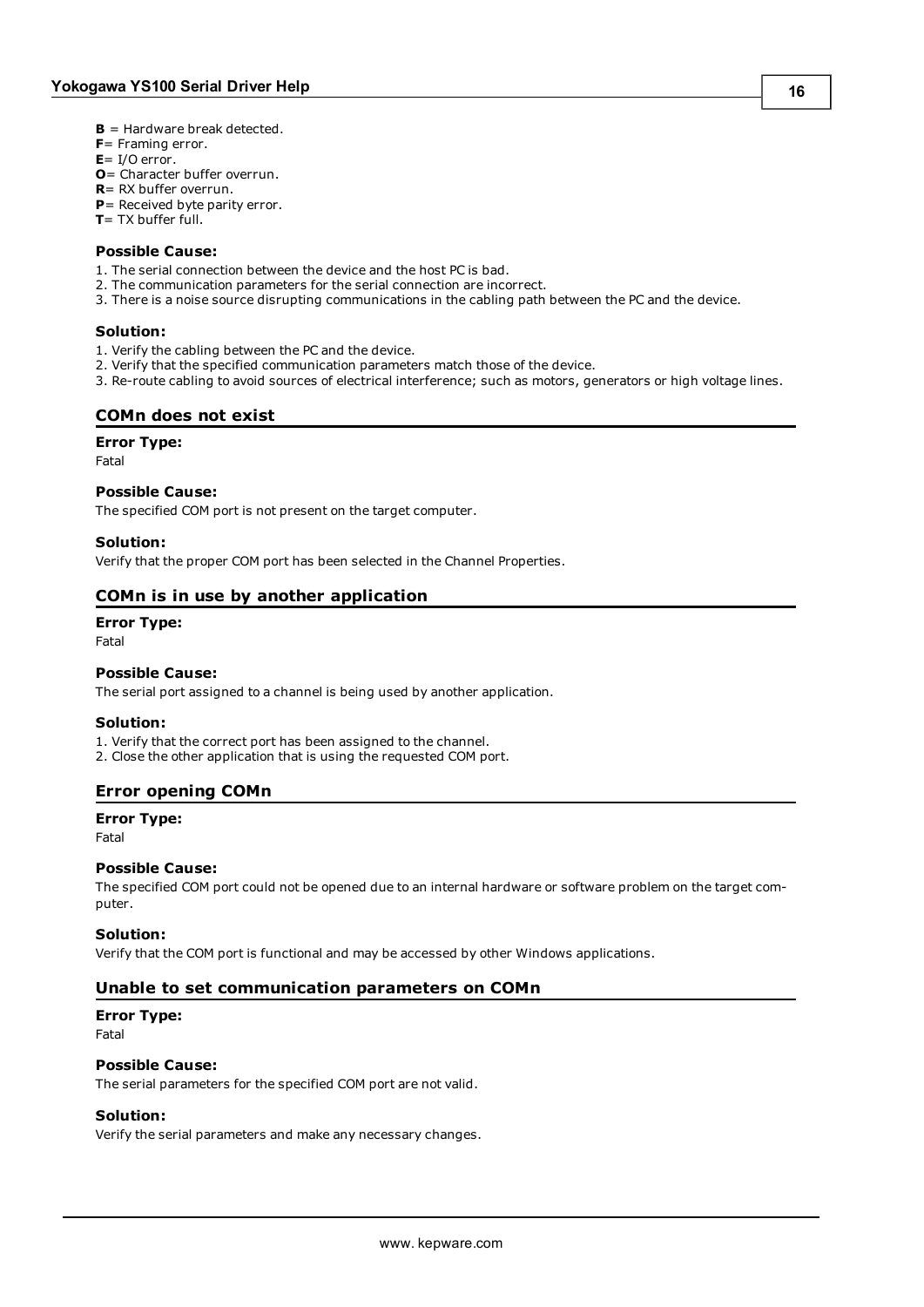- <span id="page-15-4"></span>**B** = Hardware break detected.
- **F**= Framing error.
- <span id="page-15-5"></span> $E = I/O$  error.
- **O**= Character buffer overrun.
- <span id="page-15-6"></span>**R**= RX buffer overrun.
- **P**= Received byte parity error.
- **T**= TX buffer full.

#### **Possible Cause:**

- 1. The serial connection between the device and the host PC is bad.
- 2. The communication parameters for the serial connection are incorrect.
- 3. There is a noise source disrupting communications in the cabling path between the PC and the device.

#### **Solution:**

- 1. Verify the cabling between the PC and the device.
- 2. Verify that the specified communication parameters match those of the device.
- <span id="page-15-0"></span>3. Re-route cabling to avoid sources of electrical interference; such as motors, generators or high voltage lines.

#### **COMn does not exist**

#### **Error Type:**

Fatal

#### **Possible Cause:**

The specified COM port is not present on the target computer.

#### **Solution:**

<span id="page-15-1"></span>Verify that the proper COM port has been selected in the Channel Properties.

#### **COMn is in use by another application**

#### **Error Type:**

Fatal

#### **Possible Cause:**

The serial port assigned to a channel is being used by another application.

#### **Solution:**

1. Verify that the correct port has been assigned to the channel.

<span id="page-15-2"></span>2. Close the other application that is using the requested COM port.

#### **Error opening COMn**

#### **Error Type:**

Fatal

#### **Possible Cause:**

The specified COM port could not be opened due to an internal hardware or software problem on the target computer.

#### **Solution:**

<span id="page-15-3"></span>Verify that the COM port is functional and may be accessed by other Windows applications.

#### **Unable to set communication parameters on COMn**

### **Error Type:**

Fatal

#### **Possible Cause:**

The serial parameters for the specified COM port are not valid.

#### **Solution:**

Verify the serial parameters and make any necessary changes.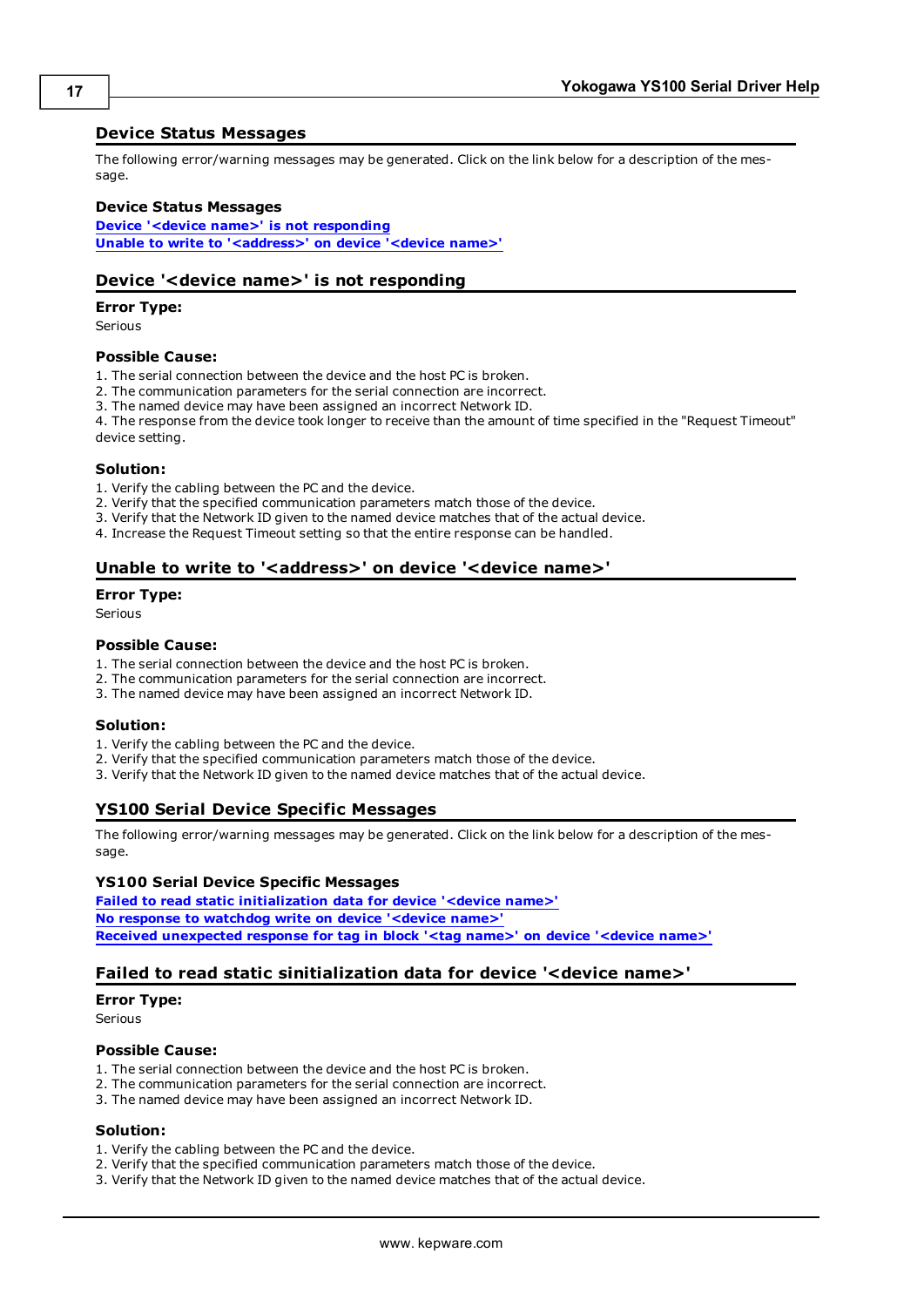#### <span id="page-16-0"></span>**Device Status Messages**

The following error/warning messages may be generated. Click on the link below for a description of the message.

#### **Device Status Messages**

**[Device](#page-16-1) ['<device](#page-16-1) [name>'](#page-16-1) [is](#page-16-1) [not](#page-16-1) [responding](#page-16-1) [Unable](#page-16-2) [to](#page-16-2) [write](#page-16-2) [to](#page-16-2) ['<address>'](#page-16-2) [on](#page-16-2) [device](#page-16-2) ['<device](#page-16-2) [name>'](#page-16-2)**

#### <span id="page-16-1"></span>**Device '<device name>' is not responding**

#### **Error Type:**

Serious

#### **Possible Cause:**

- 1. The serial connection between the device and the host PC is broken.
- 2. The communication parameters for the serial connection are incorrect.
- 3. The named device may have been assigned an incorrect Network ID.

4. The response from the device took longer to receive than the amount of time specified in the "Request Timeout" device setting.

#### **Solution:**

- 1. Verify the cabling between the PC and the device.
- 2. Verify that the specified communication parameters match those of the device.
- 3. Verify that the Network ID given to the named device matches that of the actual device.
- <span id="page-16-2"></span>4. Increase the Request Timeout setting so that the entire response can be handled.

#### Unable to write to '<address>' on device '<device name>'

#### **Error Type:**

Serious

#### **Possible Cause:**

- 1. The serial connection between the device and the host PC is broken.
- 2. The communication parameters for the serial connection are incorrect.
- 3. The named device may have been assigned an incorrect Network ID.

#### **Solution:**

- 1. Verify the cabling between the PC and the device.
- 2. Verify that the specified communication parameters match those of the device.
- <span id="page-16-3"></span>3. Verify that the Network ID given to the named device matches that of the actual device.

### **YS100 Serial Device Specific Messages**

The following error/warning messages may be generated. Click on the link below for a description of the message.

#### **YS100 Serial Device Specific Messages**

**[Failed](#page-16-4) [to](#page-16-4) [read](#page-16-4) [static](#page-16-4) [initialization](#page-16-4) [data](#page-16-4) [for](#page-16-4) [device](#page-16-4) ['<device](#page-16-4) [name>'](#page-16-4) [No](#page-17-0) [response](#page-17-0) [to](#page-17-0) [watchdog](#page-17-0) [write](#page-17-0) [on](#page-17-0) [device](#page-17-0) ['<device](#page-17-0) [name>'](#page-17-0) [Received](#page-17-1) [unexpected](#page-17-1) [response](#page-17-1) [for](#page-17-1) [tag](#page-17-1) [in](#page-17-1) [block](#page-17-1) ['<tag](#page-17-1) [name>'](#page-17-1) [on](#page-17-1) [device](#page-17-1) ['<device](#page-17-1) [name>'](#page-17-1)**

#### <span id="page-16-4"></span>**Failed to read static sinitialization data for device '<device name>'**

#### **Error Type:**

Serious

#### **Possible Cause:**

- 1. The serial connection between the device and the host PC is broken.
- 2. The communication parameters for the serial connection are incorrect.
- 3. The named device may have been assigned an incorrect Network ID.

### **Solution:**

- 1. Verify the cabling between the PC and the device.
- 2. Verify that the specified communication parameters match those of the device.
- 3. Verify that the Network ID given to the named device matches that of the actual device.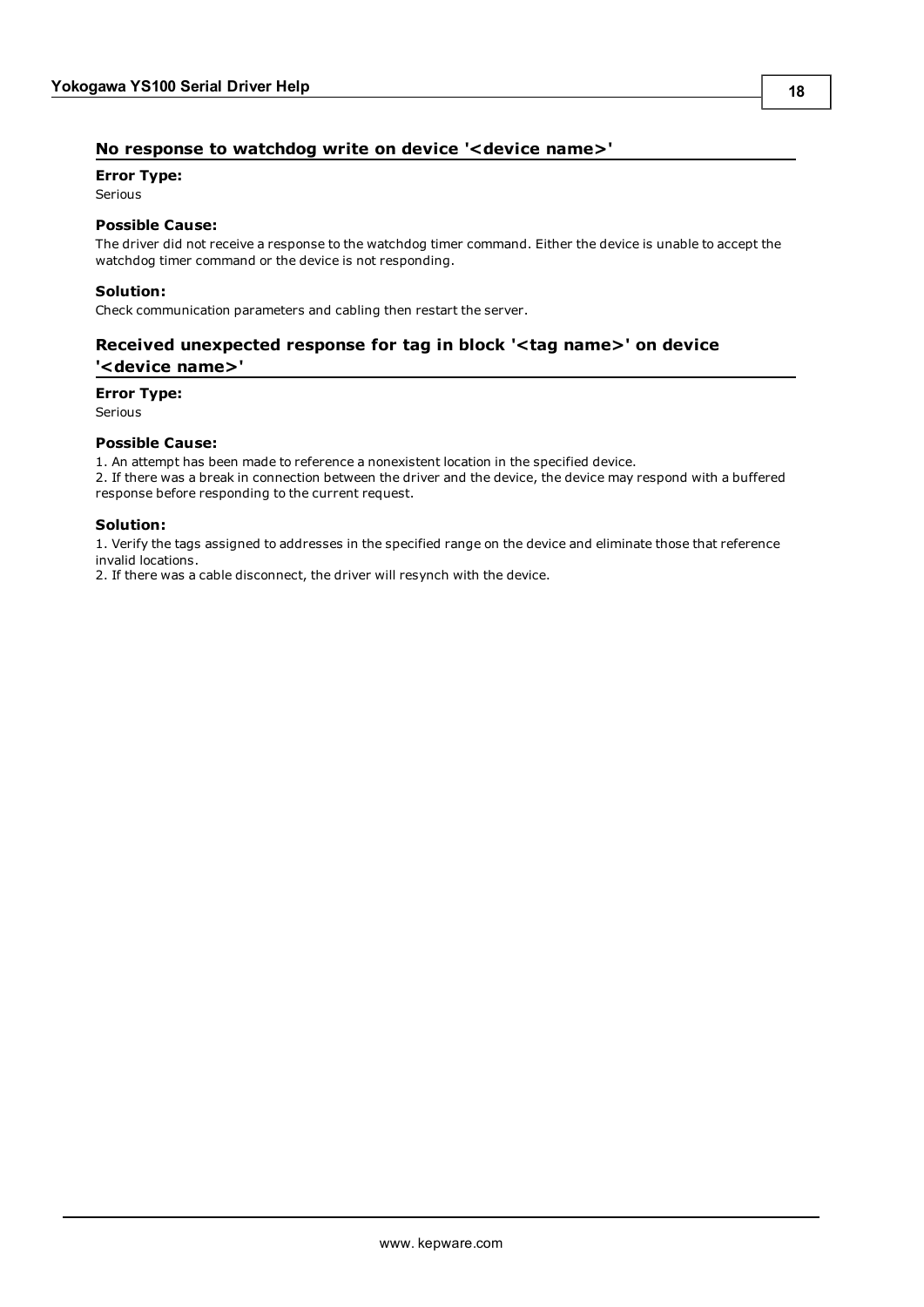### <span id="page-17-0"></span>**No response to watchdog write on device '<device name>'**

#### **Error Type:**

Serious

#### **Possible Cause:**

The driver did not receive a response to the watchdog timer command. Either the device is unable to accept the watchdog timer command or the device is not responding.

#### **Solution:**

<span id="page-17-1"></span>Check communication parameters and cabling then restart the server.

### **Received unexpected response for tag in block '<tag name>' on device '<device name>'**

#### **Error Type:**

Serious

#### **Possible Cause:**

1. An attempt has been made to reference a nonexistent location in the specified device.

2. If there was a break in connection between the driver and the device, the device may respond with a buffered response before responding to the current request.

#### **Solution:**

1. Verify the tags assigned to addresses in the specified range on the device and eliminate those that reference invalid locations.

2. If there was a cable disconnect, the driver will resynch with the device.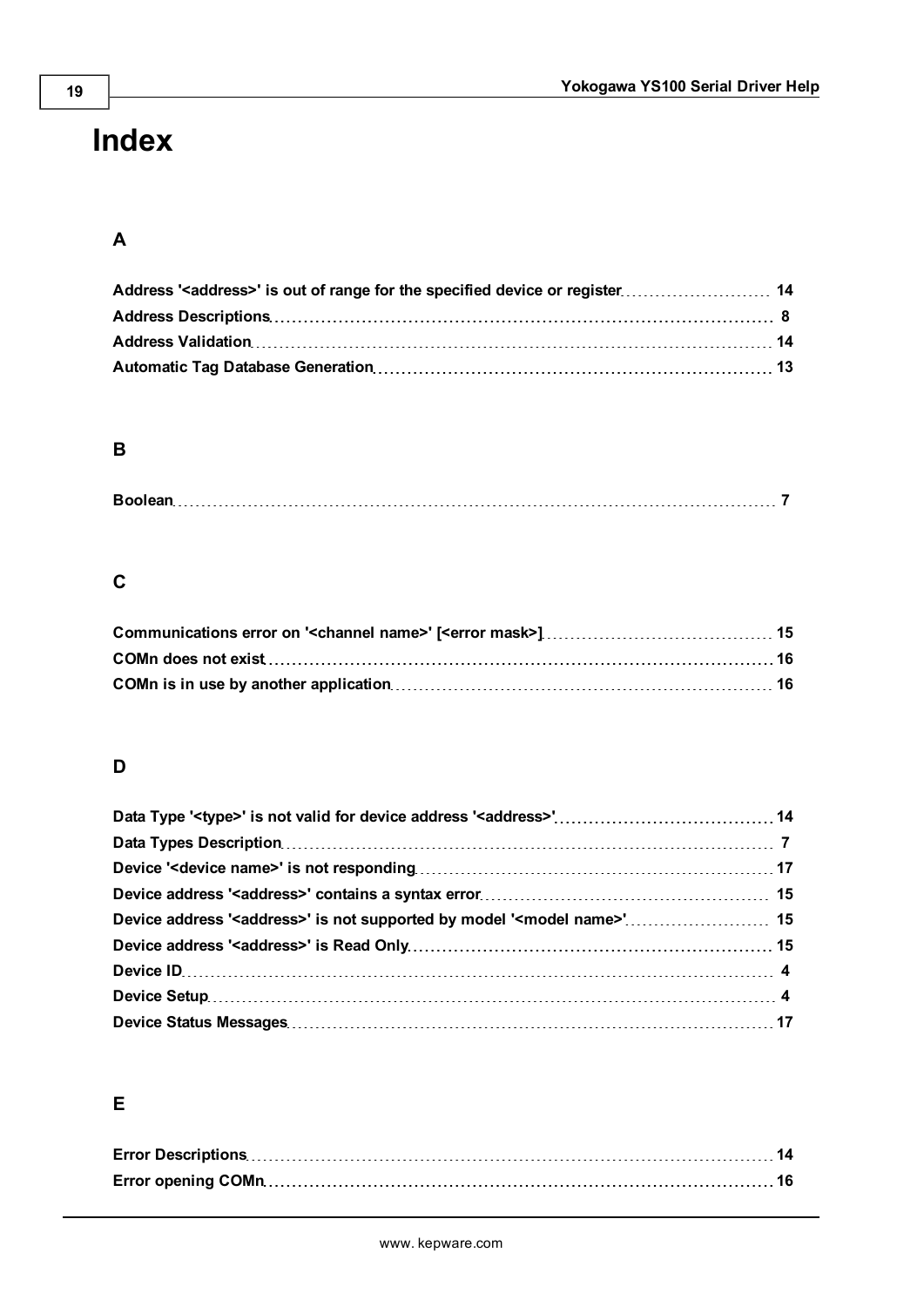# <span id="page-18-0"></span>**Index**

# **A**

| Address ' <address>' is out of range for the specified device or register 14</address> |  |
|----------------------------------------------------------------------------------------|--|
|                                                                                        |  |
|                                                                                        |  |
|                                                                                        |  |

# **B**

|--|

# **C**

# **D**

| Device address ' <address>' is not supported by model '<model name="">' 15</model></address> |  |
|----------------------------------------------------------------------------------------------|--|
|                                                                                              |  |
|                                                                                              |  |
|                                                                                              |  |
|                                                                                              |  |

# **E**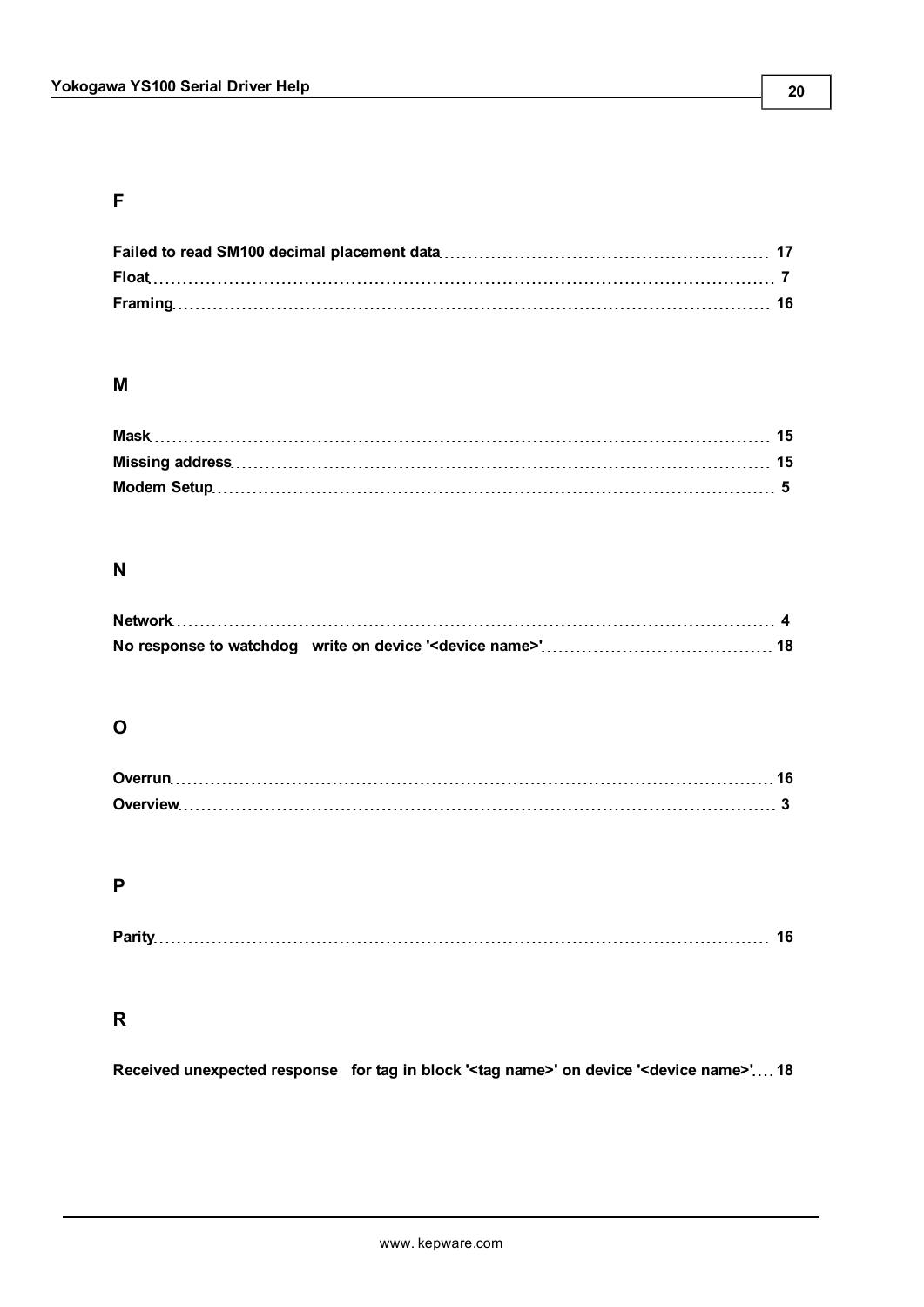# **F**

### **M**

# **N**

## **O**

## **P**

|--|

### **R**

**Received unexpected response for tag in block '<tag name>' on device '<device name>' [18](#page-17-1)**